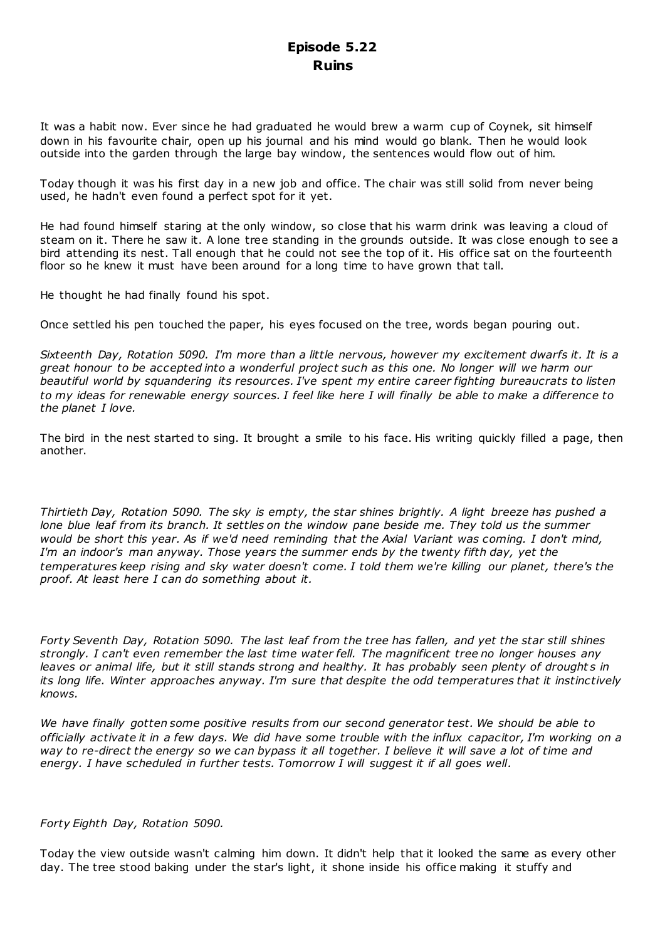# **Episode 5.22 Ruins**

It was a habit now. Ever since he had graduated he would brew a warm cup of Coynek, sit himself down in his favourite chair, open up his journal and his mind would go blank. Then he would look outside into the garden through the large bay window, the sentences would flow out of him.

Today though it was his first day in a new job and office. The chair was still solid from never being used, he hadn't even found a perfect spot for it yet.

He had found himself staring at the only window, so close that his warm drink was leaving a cloud of steam on it. There he saw it. A lone tree standing in the grounds outside. It was close enough to see a bird attending its nest. Tall enough that he could not see the top of it. His office sat on the fourteenth floor so he knew it must have been around for a long time to have grown that tall.

He thought he had finally found his spot.

Once settled his pen touched the paper, his eyes focused on the tree, words began pouring out.

*Sixteenth Day, Rotation 5090. I'm more than a little nervous, however my excitement dwarfs it. It is a great honour to be accepted into a wonderful project such as this one. No longer will we harm our beautiful world by squandering its resources. I've spent my entire career fighting bureaucrats to listen to my ideas for renewable energy sources. I feel like here I will finally be able to make a difference to the planet I love.*

The bird in the nest started to sing. It brought a smile to his face. His writing quickly filled a page, then another.

*Thirtieth Day, Rotation 5090. The sky is empty, the star shines brightly. A light breeze has pushed a lone blue leaf from its branch. It settles on the window pane beside me. They told us the summer would be short this year. As if we'd need reminding that the Axial Variant was coming. I don't mind, I'm an indoor's man anyway. Those years the summer ends by the twenty fifth day, yet the temperatures keep rising and sky water doesn't come. I told them we're killing our planet, there's the proof. At least here I can do something about it.*

*Forty Seventh Day, Rotation 5090. The last leaf from the tree has fallen, and yet the star still shines strongly. I can't even remember the last time water fell. The magnificent tree no longer houses any leaves or animal life, but it still stands strong and healthy. It has probably seen plenty of droughts in its long life. Winter approaches anyway. I'm sure that despite the odd temperatures that it instinctively knows.*

*We have finally gotten some positive results from our second generator test. We should be able to officially activate it in a few days. We did have some trouble with the influx capacitor, I'm working on a way to re-direct the energy so we can bypass it all together. I believe it will save a lot of time and energy. I have scheduled in further tests. Tomorrow I will suggest it if all goes well.*

## *Forty Eighth Day, Rotation 5090.*

Today the view outside wasn't calming him down. It didn't help that it looked the same as every other day. The tree stood baking under the star's light, it shone inside his office making it stuffy and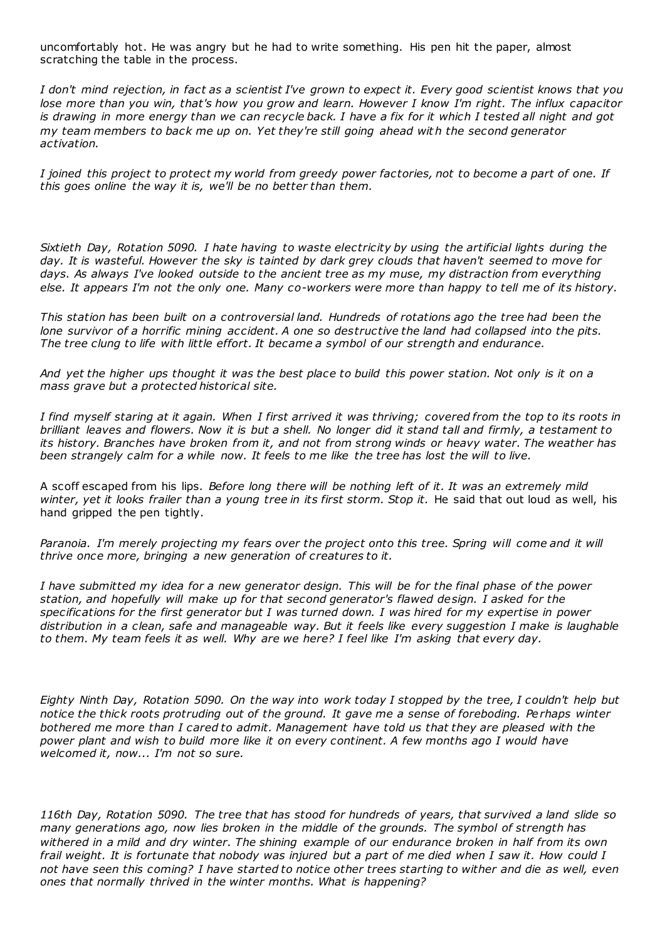uncomfortably hot. He was angry but he had to write something. His pen hit the paper, almost scratching the table in the process.

*I don't mind rejection, in fact as a scientist I've grown to expect it. Every good scientist knows that you lose more than you win, that's how you grow and learn. However I know I'm right. The influx capacitor is drawing in more energy than we can recycle back. I have a fix for it which I tested all night and got my team members to back me up on. Yet they're still going ahead wit h the second generator activation.*

*I joined this project to protect my world from greedy power factories, not to become a part of one. If this goes online the way it is, we'll be no better than them.*

*Sixtieth Day, Rotation 5090. I hate having to waste electricity by using the artificial lights during the day. It is wasteful. However the sky is tainted by dark grey clouds that haven't seemed to move for*  days. As always I've looked outside to the ancient tree as my muse, my distraction from everything *else. It appears I'm not the only one. Many co-workers were more than happy to tell me of its history.*

*This station has been built on a controversial land. Hundreds of rotations ago the tree had been the lone survivor of a horrific mining accident. A one so destructive the land had collapsed into the pits. The tree clung to life with little effort. It became a symbol of our strength and endurance.*

*And yet the higher ups thought it was the best place to build this power station. Not only is it on a mass grave but a protected historical site.*

*I find myself staring at it again. When I first arrived it was thriving; covered from the top to its roots in brilliant leaves and flowers. Now it is but a shell. No longer did it stand tall and firmly, a testament to its history. Branches have broken from it, and not from strong winds or heavy water. The weather has been strangely calm for a while now. It feels to me like the tree has lost the will to live.*

A scoff escaped from his lips. *Before long there will be nothing left of it. It was an extremely mild*  winter, yet it looks frailer than a young tree in its first storm. Stop it. He said that out loud as well, his hand gripped the pen tightly.

Paranoia. I'm merely projecting my fears over the project onto this tree. Spring will come and it will *thrive once more, bringing a new generation of creatures to it.*

*I have submitted my idea for a new generator design. This will be for the final phase of the power station, and hopefully will make up for that second generator's flawed design. I asked for the specifications for the first generator but I was turned down. I was hired for my expertise in power distribution in a clean, safe and manageable way. But it feels like every suggestion I make is laughable to them. My team feels it as well. Why are we here? I feel like I'm asking that every day.*

*Eighty Ninth Day, Rotation 5090. On the way into work today I stopped by the tree, I couldn't help but notice the thick roots protruding out of the ground. It gave me a sense of foreboding. Perhaps winter bothered me more than I cared to admit. Management have told us that they are pleased with the power plant and wish to build more like it on every continent. A few months ago I would have welcomed it, now... I'm not so sure.*

*116th Day, Rotation 5090. The tree that has stood for hundreds of years, that survived a land slide so many generations ago, now lies broken in the middle of the grounds. The symbol of strength has withered in a mild and dry winter. The shining example of our endurance broken in half from its own frail weight. It is fortunate that nobody was injured but a part of me died when I saw it. How could I not have seen this coming? I have started to notice other trees starting to wither and die as well, even ones that normally thrived in the winter months. What is happening?*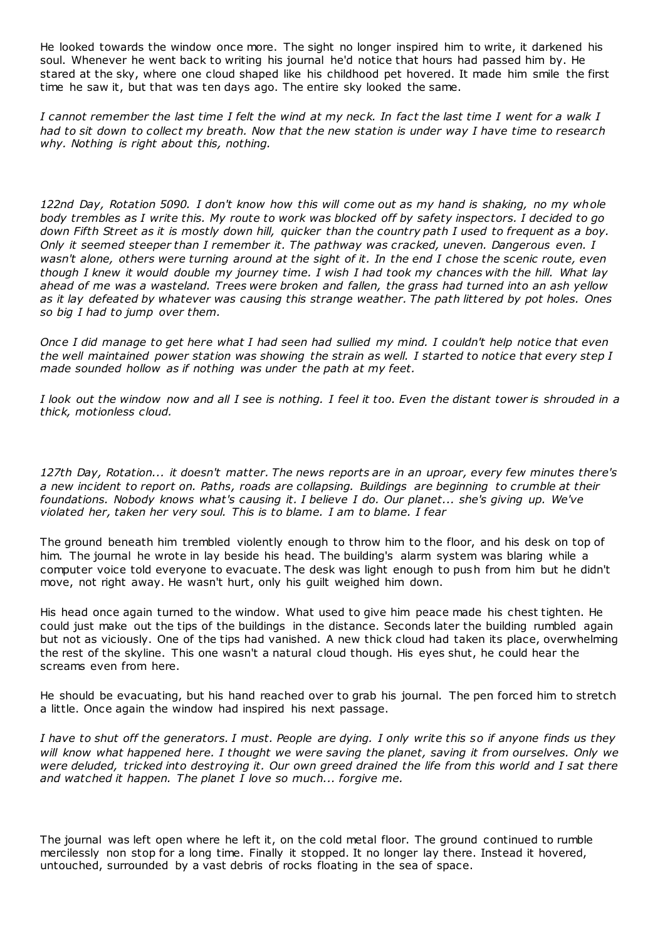He looked towards the window once more. The sight no longer inspired him to write, it darkened his soul. Whenever he went back to writing his journal he'd notice that hours had passed him by. He stared at the sky, where one cloud shaped like his childhood pet hovered. It made him smile the first time he saw it, but that was ten days ago. The entire sky looked the same.

*I cannot remember the last time I felt the wind at my neck. In fact the last time I went for a walk I had to sit down to collect my breath. Now that the new station is under way I have time to research why. Nothing is right about this, nothing.*

*122nd Day, Rotation 5090. I don't know how this will come out as my hand is shaking, no my whole body trembles as I write this. My route to work was blocked off by safety inspectors. I decided to go down Fifth Street as it is mostly down hill, quicker than the country path I used to frequent as a boy. Only it seemed steeper than I remember it. The pathway was cracked, uneven. Dangerous even. I wasn't alone, others were turning around at the sight of it. In the end I chose the scenic route, even though I knew it would double my journey time. I wish I had took my chances with the hill. What lay ahead of me was a wasteland. Trees were broken and fallen, the grass had turned into an ash yellow as it lay defeated by whatever was causing this strange weather. The path littered by pot holes. Ones so big I had to jump over them.*

*Once I did manage to get here what I had seen had sullied my mind. I couldn't help notice that even the well maintained power station was showing the strain as well. I started to notice that every step I made sounded hollow as if nothing was under the path at my feet.*

*I look out the window now and all I see is nothing. I feel it too. Even the distant tower is shrouded in a thick, motionless cloud.*

*127th Day, Rotation... it doesn't matter. The news reports are in an uproar, every few minutes there's a new incident to report on. Paths, roads are collapsing. Buildings are beginning to crumble at their foundations. Nobody knows what's causing it. I believe I do. Our planet... she's giving up. We've violated her, taken her very soul. This is to blame. I am to blame. I fear*

The ground beneath him trembled violently enough to throw him to the floor, and his desk on top of him. The journal he wrote in lay beside his head. The building's alarm system was blaring while a computer voice told everyone to evacuate. The desk was light enough to push from him but he didn't move, not right away. He wasn't hurt, only his guilt weighed him down.

His head once again turned to the window. What used to give him peace made his chest tighten. He could just make out the tips of the buildings in the distance. Seconds later the building rumbled again but not as viciously. One of the tips had vanished. A new thick cloud had taken its place, overwhelming the rest of the skyline. This one wasn't a natural cloud though. His eyes shut, he could hear the screams even from here.

He should be evacuating, but his hand reached over to grab his journal. The pen forced him to stretch a little. Once again the window had inspired his next passage.

*I have to shut off the generators. I must. People are dying. I only write this so if anyone finds us they will know what happened here. I thought we were saving the planet, saving it from ourselves. Only we were deluded, tricked into destroying it. Our own greed drained the life from this world and I sat there and watched it happen. The planet I love so much... forgive me.*

The journal was left open where he left it, on the cold metal floor. The ground continued to rumble mercilessly non stop for a long time. Finally it stopped. It no longer lay there. Instead it hovered, untouched, surrounded by a vast debris of rocks floating in the sea of space.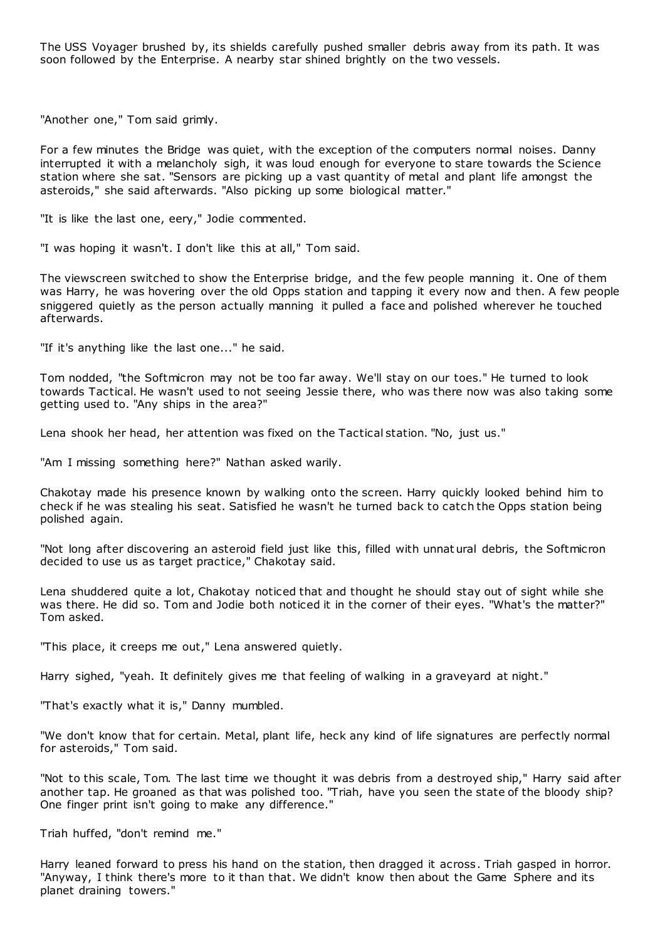The USS Voyager brushed by, its shields carefully pushed smaller debris away from its path. It was soon followed by the Enterprise. A nearby star shined brightly on the two vessels.

"Another one," Tom said grimly.

For a few minutes the Bridge was quiet, with the exception of the computers normal noises. Danny interrupted it with a melancholy sigh, it was loud enough for everyone to stare towards the Science station where she sat. "Sensors are picking up a vast quantity of metal and plant life amongst the asteroids," she said afterwards. "Also picking up some biological matter."

"It is like the last one, eery," Jodie commented.

"I was hoping it wasn't. I don't like this at all," Tom said.

The viewscreen switched to show the Enterprise bridge, and the few people manning it. One of them was Harry, he was hovering over the old Opps station and tapping it every now and then. A few people sniggered quietly as the person actually manning it pulled a face and polished wherever he touched afterwards.

"If it's anything like the last one..." he said.

Tom nodded, "the Softmicron may not be too far away. We'll stay on our toes." He turned to look towards Tactical. He wasn't used to not seeing Jessie there, who was there now was also taking some getting used to. "Any ships in the area?"

Lena shook her head, her attention was fixed on the Tactical station. "No, just us."

"Am I missing something here?" Nathan asked warily.

Chakotay made his presence known by walking onto the screen. Harry quickly looked behind him to check if he was stealing his seat. Satisfied he wasn't he turned back to catch the Opps station being polished again.

"Not long after discovering an asteroid field just like this, filled with unnatural debris, the Softmicron decided to use us as target practice," Chakotay said.

Lena shuddered quite a lot, Chakotay noticed that and thought he should stay out of sight while she was there. He did so. Tom and Jodie both noticed it in the corner of their eyes. "What's the matter?" Tom asked.

"This place, it creeps me out," Lena answered quietly.

Harry sighed, "yeah. It definitely gives me that feeling of walking in a graveyard at night."

"That's exactly what it is," Danny mumbled.

"We don't know that for certain. Metal, plant life, heck any kind of life signatures are perfectly normal for asteroids," Tom said.

"Not to this scale, Tom. The last time we thought it was debris from a destroyed ship," Harry said after another tap. He groaned as that was polished too. "Triah, have you seen the state of the bloody ship? One finger print isn't going to make any difference."

Triah huffed, "don't remind me."

Harry leaned forward to press his hand on the station, then dragged it across. Triah gasped in horror. "Anyway, I think there's more to it than that. We didn't know then about the Game Sphere and its planet draining towers."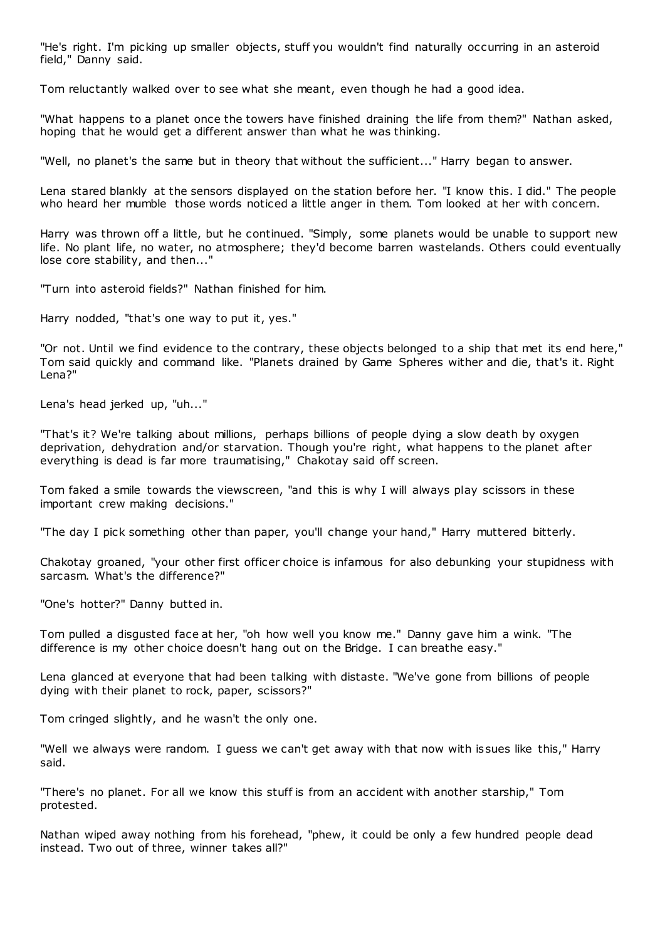"He's right. I'm picking up smaller objects, stuff you wouldn't find naturally occurring in an asteroid field," Danny said.

Tom reluctantly walked over to see what she meant, even though he had a good idea.

"What happens to a planet once the towers have finished draining the life from them?" Nathan asked, hoping that he would get a different answer than what he was thinking.

"Well, no planet's the same but in theory that without the sufficient..." Harry began to answer.

Lena stared blankly at the sensors displayed on the station before her. "I know this. I did." The people who heard her mumble those words noticed a little anger in them. Tom looked at her with concern.

Harry was thrown off a little, but he continued. "Simply, some planets would be unable to support new life. No plant life, no water, no atmosphere; they'd become barren wastelands. Others could eventually lose core stability, and then..."

"Turn into asteroid fields?" Nathan finished for him.

Harry nodded, "that's one way to put it, yes."

"Or not. Until we find evidence to the contrary, these objects belonged to a ship that met its end here," Tom said quickly and command like. "Planets drained by Game Spheres wither and die, that's it. Right Lena?"

Lena's head jerked up, "uh..."

"That's it? We're talking about millions, perhaps billions of people dying a slow death by oxygen deprivation, dehydration and/or starvation. Though you're right, what happens to the planet after everything is dead is far more traumatising," Chakotay said off screen.

Tom faked a smile towards the viewscreen, "and this is why I will always play scissors in these important crew making decisions."

"The day I pick something other than paper, you'll change your hand," Harry muttered bitterly.

Chakotay groaned, "your other first officer choice is infamous for also debunking your stupidness with sarcasm. What's the difference?"

"One's hotter?" Danny butted in.

Tom pulled a disgusted face at her, "oh how well you know me." Danny gave him a wink. "The difference is my other choice doesn't hang out on the Bridge. I can breathe easy."

Lena glanced at everyone that had been talking with distaste. "We've gone from billions of people dying with their planet to rock, paper, scissors?"

Tom cringed slightly, and he wasn't the only one.

"Well we always were random. I guess we can't get away with that now with issues like this," Harry said.

"There's no planet. For all we know this stuff is from an accident with another starship," Tom protested.

Nathan wiped away nothing from his forehead, "phew, it could be only a few hundred people dead instead. Two out of three, winner takes all?"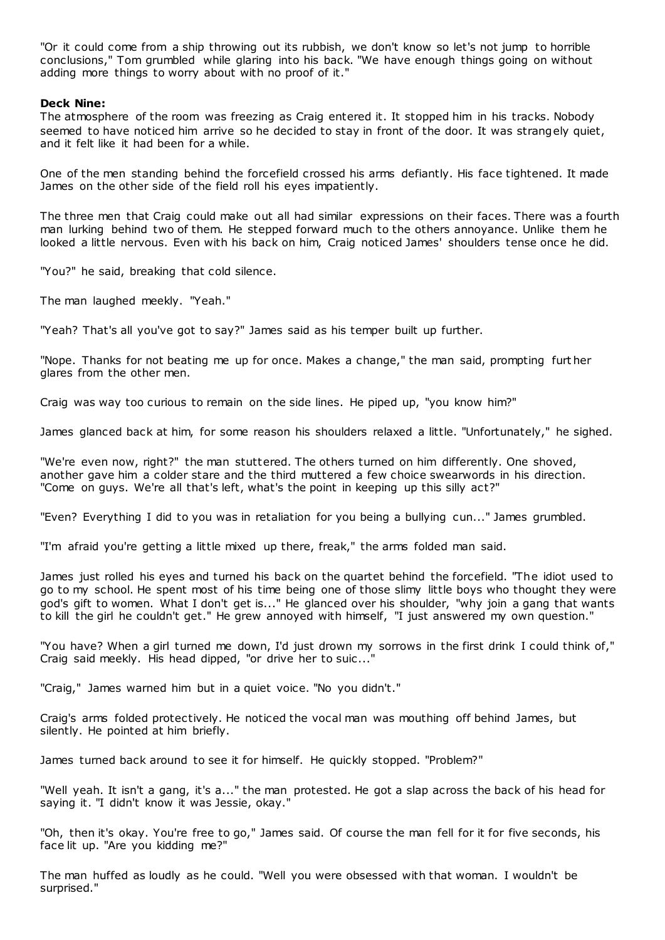"Or it could come from a ship throwing out its rubbish, we don't know so let's not jump to horrible conclusions," Tom grumbled while glaring into his back. "We have enough things going on without adding more things to worry about with no proof of it."

### **Deck Nine:**

The atmosphere of the room was freezing as Craig entered it. It stopped him in his tracks. Nobody seemed to have noticed him arrive so he decided to stay in front of the door. It was strangely quiet, and it felt like it had been for a while.

One of the men standing behind the forcefield crossed his arms defiantly. His face tightened. It made James on the other side of the field roll his eyes impatiently.

The three men that Craig could make out all had similar expressions on their faces. There was a fourth man lurking behind two of them. He stepped forward much to the others annoyance. Unlike them he looked a little nervous. Even with his back on him, Craig noticed James' shoulders tense once he did.

"You?" he said, breaking that cold silence.

The man laughed meekly. "Yeah."

"Yeah? That's all you've got to say?" James said as his temper built up further.

"Nope. Thanks for not beating me up for once. Makes a change," the man said, prompting furt her glares from the other men.

Craig was way too curious to remain on the side lines. He piped up, "you know him?"

James glanced back at him, for some reason his shoulders relaxed a little. "Unfortunately," he sighed.

"We're even now, right?" the man stuttered. The others turned on him differently. One shoved, another gave him a colder stare and the third muttered a few choice swearwords in his direction. "Come on guys. We're all that's left, what's the point in keeping up this silly act?"

"Even? Everything I did to you was in retaliation for you being a bullying cun..." James grumbled.

"I'm afraid you're getting a little mixed up there, freak," the arms folded man said.

James just rolled his eyes and turned his back on the quartet behind the forcefield. "The idiot used to go to my school. He spent most of his time being one of those slimy little boys who thought they were god's gift to women. What I don't get is..." He glanced over his shoulder, "why join a gang that wants to kill the girl he couldn't get." He grew annoyed with himself, "I just answered my own question."

"You have? When a girl turned me down, I'd just drown my sorrows in the first drink I could think of," Craig said meekly. His head dipped, "or drive her to suic..."

"Craig," James warned him but in a quiet voice. "No you didn't."

Craig's arms folded protectively. He noticed the vocal man was mouthing off behind James, but silently. He pointed at him briefly.

James turned back around to see it for himself. He quickly stopped. "Problem?"

"Well yeah. It isn't a gang, it's a..." the man protested. He got a slap across the back of his head for saying it. "I didn't know it was Jessie, okay."

"Oh, then it's okay. You're free to go," James said. Of course the man fell for it for five seconds, his face lit up. "Are you kidding me?"

The man huffed as loudly as he could. "Well you were obsessed with that woman. I wouldn't be surprised."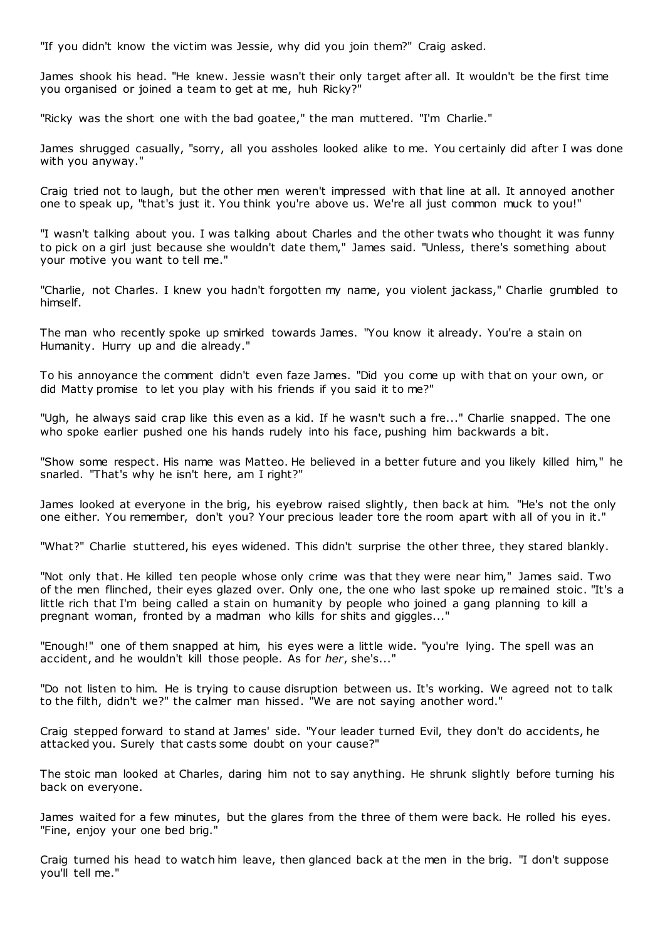"If you didn't know the victim was Jessie, why did you join them?" Craig asked.

James shook his head. "He knew. Jessie wasn't their only target after all. It wouldn't be the first time you organised or joined a team to get at me, huh Ricky?"

"Ricky was the short one with the bad goatee," the man muttered. "I'm Charlie."

James shrugged casually, "sorry, all you assholes looked alike to me. You certainly did after I was done with you anyway."

Craig tried not to laugh, but the other men weren't impressed with that line at all. It annoyed another one to speak up, "that's just it. You think you're above us. We're all just common muck to you!"

"I wasn't talking about you. I was talking about Charles and the other twats who thought it was funny to pick on a girl just because she wouldn't date them," James said. "Unless, there's something about your motive you want to tell me."

"Charlie, not Charles. I knew you hadn't forgotten my name, you violent jackass," Charlie grumbled to himself.

The man who recently spoke up smirked towards James. "You know it already. You're a stain on Humanity. Hurry up and die already."

To his annoyance the comment didn't even faze James. "Did you come up with that on your own, or did Matty promise to let you play with his friends if you said it to me?"

"Ugh, he always said crap like this even as a kid. If he wasn't such a fre..." Charlie snapped. The one who spoke earlier pushed one his hands rudely into his face, pushing him backwards a bit.

"Show some respect. His name was Matteo. He believed in a better future and you likely killed him," he snarled. "That's why he isn't here, am I right?"

James looked at everyone in the brig, his eyebrow raised slightly, then back at him. "He's not the only one either. You remember, don't you? Your precious leader tore the room apart with all of you in it."

"What?" Charlie stuttered, his eyes widened. This didn't surprise the other three, they stared blankly.

"Not only that. He killed ten people whose only crime was that they were near him," James said. Two of the men flinched, their eyes glazed over. Only one, the one who last spoke up remained stoic . "It's a little rich that I'm being called a stain on humanity by people who joined a gang planning to kill a pregnant woman, fronted by a madman who kills for shits and giggles..."

"Enough!" one of them snapped at him, his eyes were a little wide. "you're lying. The spell was an accident, and he wouldn't kill those people. As for *her*, she's..."

"Do not listen to him. He is trying to cause disruption between us. It's working. We agreed not to talk to the filth, didn't we?" the calmer man hissed. "We are not saying another word."

Craig stepped forward to stand at James' side. "Your leader turned Evil, they don't do accidents, he attacked you. Surely that casts some doubt on your cause?"

The stoic man looked at Charles, daring him not to say anything. He shrunk slightly before turning his back on everyone.

James waited for a few minutes, but the glares from the three of them were back. He rolled his eyes. "Fine, enjoy your one bed brig."

Craig turned his head to watch him leave, then glanced back at the men in the brig. "I don't suppose you'll tell me."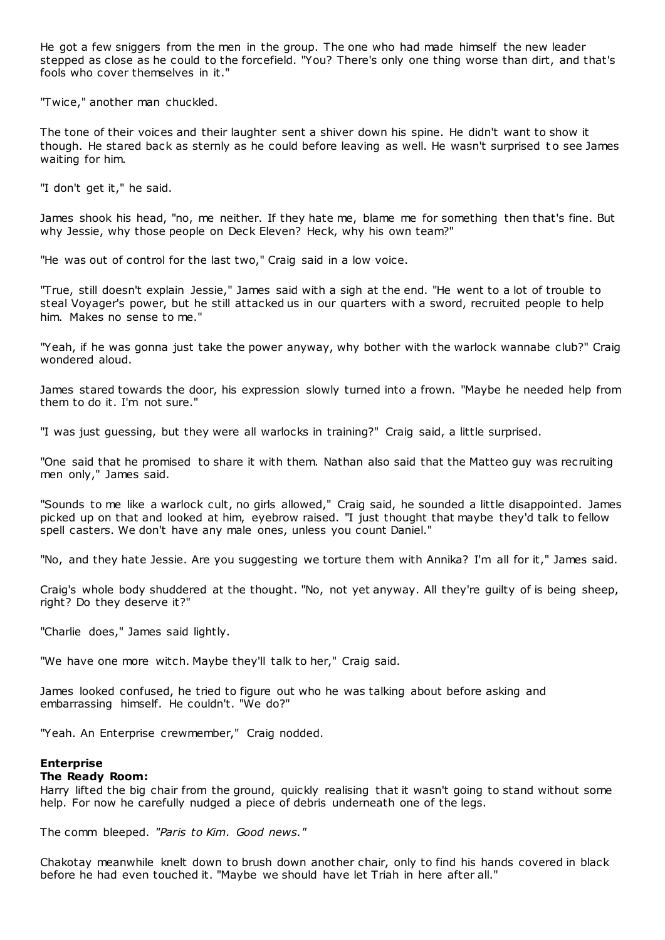He got a few sniggers from the men in the group. The one who had made himself the new leader stepped as close as he could to the forcefield. "You? There's only one thing worse than dirt, and that's fools who cover themselves in it."

"Twice," another man chuckled.

The tone of their voices and their laughter sent a shiver down his spine. He didn't want to show it though. He stared back as sternly as he could before leaving as well. He wasn't surprised to see James waiting for him.

"I don't get it," he said.

James shook his head, "no, me neither. If they hate me, blame me for something then that's fine. But why Jessie, why those people on Deck Eleven? Heck, why his own team?"

"He was out of control for the last two," Craig said in a low voice.

"True, still doesn't explain Jessie," James said with a sigh at the end. "He went to a lot of trouble to steal Voyager's power, but he still attacked us in our quarters with a sword, recruited people to help him. Makes no sense to me."

"Yeah, if he was gonna just take the power anyway, why bother with the warlock wannabe club?" Craig wondered aloud.

James stared towards the door, his expression slowly turned into a frown. "Maybe he needed help from them to do it. I'm not sure."

"I was just guessing, but they were all warlocks in training?" Craig said, a little surprised.

"One said that he promised to share it with them. Nathan also said that the Matteo guy was recruiting men only," James said.

"Sounds to me like a warlock cult, no girls allowed," Craig said, he sounded a little disappointed. James picked up on that and looked at him, eyebrow raised. "I just thought that maybe they'd talk to fellow spell casters. We don't have any male ones, unless you count Daniel."

"No, and they hate Jessie. Are you suggesting we torture them with Annika? I'm all for it," James said.

Craig's whole body shuddered at the thought. "No, not yet anyway. All they're guilty of is being sheep, right? Do they deserve it?"

"Charlie does," James said lightly.

"We have one more witch. Maybe they'll talk to her," Craig said.

James looked confused, he tried to figure out who he was talking about before asking and embarrassing himself. He couldn't. "We do?"

"Yeah. An Enterprise crewmember," Craig nodded.

# **Enterprise**

# **The Ready Room:**

Harry lifted the big chair from the ground, quickly realising that it wasn't going to stand without some help. For now he carefully nudged a piece of debris underneath one of the legs.

The comm bleeped. *"Paris to Kim. Good news."*

Chakotay meanwhile knelt down to brush down another chair, only to find his hands covered in black before he had even touched it. "Maybe we should have let Triah in here after all."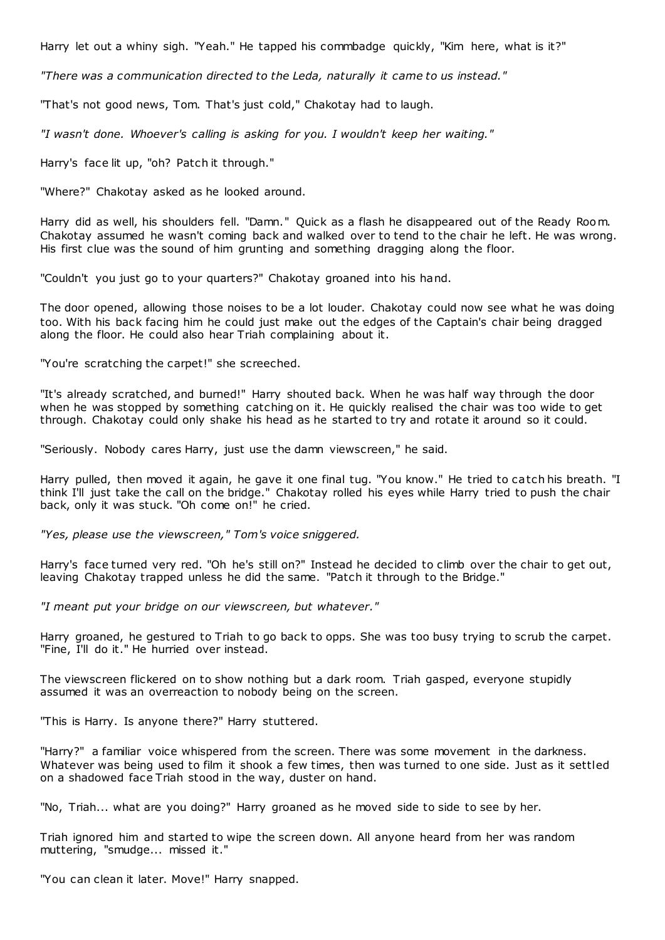Harry let out a whiny sigh. "Yeah." He tapped his commbadge quickly, "Kim here, what is it?"

*"There was a communication directed to the Leda, naturally it came to us instead."*

"That's not good news, Tom. That's just cold," Chakotay had to laugh.

*"I wasn't done. Whoever's calling is asking for you. I wouldn't keep her waiting."*

Harry's face lit up, "oh? Patch it through."

"Where?" Chakotay asked as he looked around.

Harry did as well, his shoulders fell. "Damn." Quick as a flash he disappeared out of the Ready Room. Chakotay assumed he wasn't coming back and walked over to tend to the chair he left. He was wrong. His first clue was the sound of him grunting and something dragging along the floor.

"Couldn't you just go to your quarters?" Chakotay groaned into his hand.

The door opened, allowing those noises to be a lot louder. Chakotay could now see what he was doing too. With his back facing him he could just make out the edges of the Captain's chair being dragged along the floor. He could also hear Triah complaining about it.

"You're scratching the carpet!" she screeched.

"It's already scratched, and burned!" Harry shouted back. When he was half way through the door when he was stopped by something catching on it. He quickly realised the chair was too wide to get through. Chakotay could only shake his head as he started to try and rotate it around so it could.

"Seriously. Nobody cares Harry, just use the damn viewscreen," he said.

Harry pulled, then moved it again, he gave it one final tug. "You know." He tried to catch his breath. "I think I'll just take the call on the bridge." Chakotay rolled his eyes while Harry tried to push the chair back, only it was stuck. "Oh come on!" he cried.

*"Yes, please use the viewscreen," Tom's voice sniggered.*

Harry's face turned very red. "Oh he's still on?" Instead he decided to climb over the chair to get out, leaving Chakotay trapped unless he did the same. "Patch it through to the Bridge."

*"I meant put your bridge on our viewscreen, but whatever."*

Harry groaned, he gestured to Triah to go back to opps. She was too busy trying to scrub the carpet. "Fine, I'll do it." He hurried over instead.

The viewscreen flickered on to show nothing but a dark room. Triah gasped, everyone stupidly assumed it was an overreaction to nobody being on the screen.

"This is Harry. Is anyone there?" Harry stuttered.

"Harry?" a familiar voice whispered from the screen. There was some movement in the darkness. Whatever was being used to film it shook a few times, then was turned to one side. Just as it settled on a shadowed face Triah stood in the way, duster on hand.

"No, Triah... what are you doing?" Harry groaned as he moved side to side to see by her.

Triah ignored him and started to wipe the screen down. All anyone heard from her was random muttering, "smudge... missed it."

"You can clean it later. Move!" Harry snapped.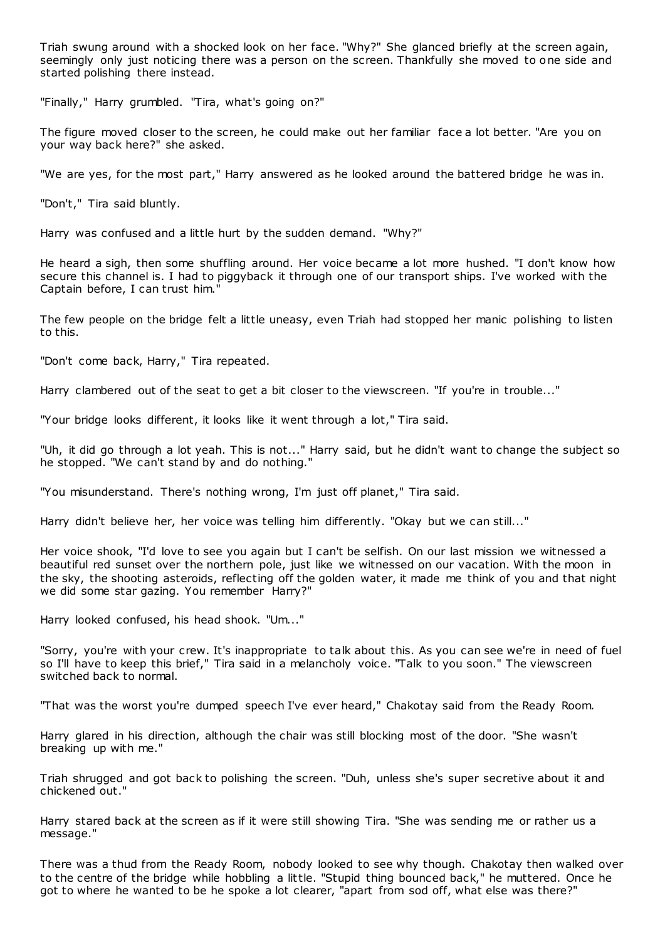Triah swung around with a shocked look on her face. "Why?" She glanced briefly at the screen again, seemingly only just noticing there was a person on the screen. Thankfully she moved to one side and started polishing there instead.

"Finally," Harry grumbled. "Tira, what's going on?"

The figure moved closer to the screen, he could make out her familiar face a lot better. "Are you on your way back here?" she asked.

"We are yes, for the most part," Harry answered as he looked around the battered bridge he was in.

"Don't," Tira said bluntly.

Harry was confused and a little hurt by the sudden demand. "Why?"

He heard a sigh, then some shuffling around. Her voice became a lot more hushed. "I don't know how secure this channel is. I had to piggyback it through one of our transport ships. I've worked with the Captain before, I can trust him."

The few people on the bridge felt a little uneasy, even Triah had stopped her manic polishing to listen to this.

"Don't come back, Harry," Tira repeated.

Harry clambered out of the seat to get a bit closer to the viewscreen. "If you're in trouble..."

"Your bridge looks different, it looks like it went through a lot," Tira said.

"Uh, it did go through a lot yeah. This is not..." Harry said, but he didn't want to change the subject so he stopped. "We can't stand by and do nothing."

"You misunderstand. There's nothing wrong, I'm just off planet," Tira said.

Harry didn't believe her, her voice was telling him differently. "Okay but we can still..."

Her voice shook, "I'd love to see you again but I can't be selfish. On our last mission we witnessed a beautiful red sunset over the northern pole, just like we witnessed on our vacation. With the moon in the sky, the shooting asteroids, reflecting off the golden water, it made me think of you and that night we did some star gazing. You remember Harry?"

Harry looked confused, his head shook. "Um..."

"Sorry, you're with your crew. It's inappropriate to talk about this. As you can see we're in need of fuel so I'll have to keep this brief," Tira said in a melancholy voice. "Talk to you soon." The viewscreen switched back to normal.

"That was the worst you're dumped speech I've ever heard," Chakotay said from the Ready Room.

Harry glared in his direction, although the chair was still blocking most of the door. "She wasn't breaking up with me."

Triah shrugged and got back to polishing the screen. "Duh, unless she's super secretive about it and chickened out."

Harry stared back at the screen as if it were still showing Tira. "She was sending me or rather us a message."

There was a thud from the Ready Room, nobody looked to see why though. Chakotay then walked over to the centre of the bridge while hobbling a little. "Stupid thing bounced back," he muttered. Once he got to where he wanted to be he spoke a lot clearer, "apart from sod off, what else was there?"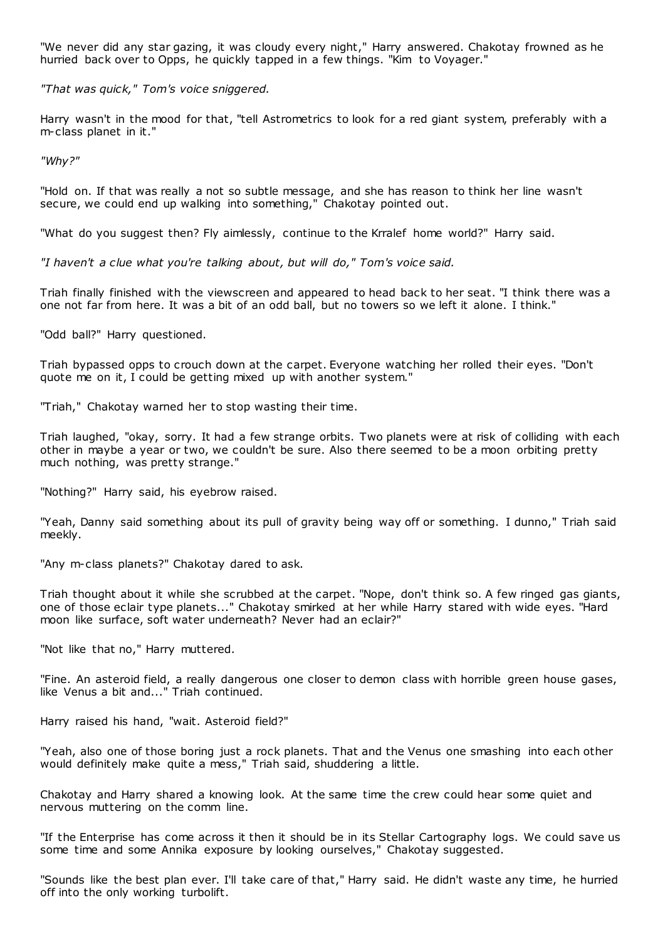"We never did any star gazing, it was cloudy every night," Harry answered. Chakotay frowned as he hurried back over to Opps, he quickly tapped in a few things. "Kim to Voyager."

*"That was quick," Tom's voice sniggered.*

Harry wasn't in the mood for that, "tell Astrometrics to look for a red giant system, preferably with a m-class planet in it."

*"Why?"*

"Hold on. If that was really a not so subtle message, and she has reason to think her line wasn't secure, we could end up walking into something," Chakotay pointed out.

"What do you suggest then? Fly aimlessly, continue to the Krralef home world?" Harry said.

*"I haven't a clue what you're talking about, but will do," Tom's voice said.*

Triah finally finished with the viewscreen and appeared to head back to her seat. "I think there was a one not far from here. It was a bit of an odd ball, but no towers so we left it alone. I think."

"Odd ball?" Harry questioned.

Triah bypassed opps to crouch down at the carpet. Everyone watching her rolled their eyes. "Don't quote me on it, I could be getting mixed up with another system."

"Triah," Chakotay warned her to stop wasting their time.

Triah laughed, "okay, sorry. It had a few strange orbits. Two planets were at risk of colliding with each other in maybe a year or two, we couldn't be sure. Also there seemed to be a moon orbiting pretty much nothing, was pretty strange."

"Nothing?" Harry said, his eyebrow raised.

"Yeah, Danny said something about its pull of gravity being way off or something. I dunno," Triah said meekly.

"Any m-class planets?" Chakotay dared to ask.

Triah thought about it while she scrubbed at the carpet. "Nope, don't think so. A few ringed gas giants, one of those eclair type planets..." Chakotay smirked at her while Harry stared with wide eyes. "Hard moon like surface, soft water underneath? Never had an eclair?"

"Not like that no," Harry muttered.

"Fine. An asteroid field, a really dangerous one closer to demon class with horrible green house gases, like Venus a bit and..." Triah continued.

Harry raised his hand, "wait. Asteroid field?"

"Yeah, also one of those boring just a rock planets. That and the Venus one smashing into each other would definitely make quite a mess," Triah said, shuddering a little.

Chakotay and Harry shared a knowing look. At the same time the crew could hear some quiet and nervous muttering on the comm line.

"If the Enterprise has come across it then it should be in its Stellar Cartography logs. We could save us some time and some Annika exposure by looking ourselves," Chakotay suggested.

"Sounds like the best plan ever. I'll take care of that," Harry said. He didn't waste any time, he hurried off into the only working turbolift.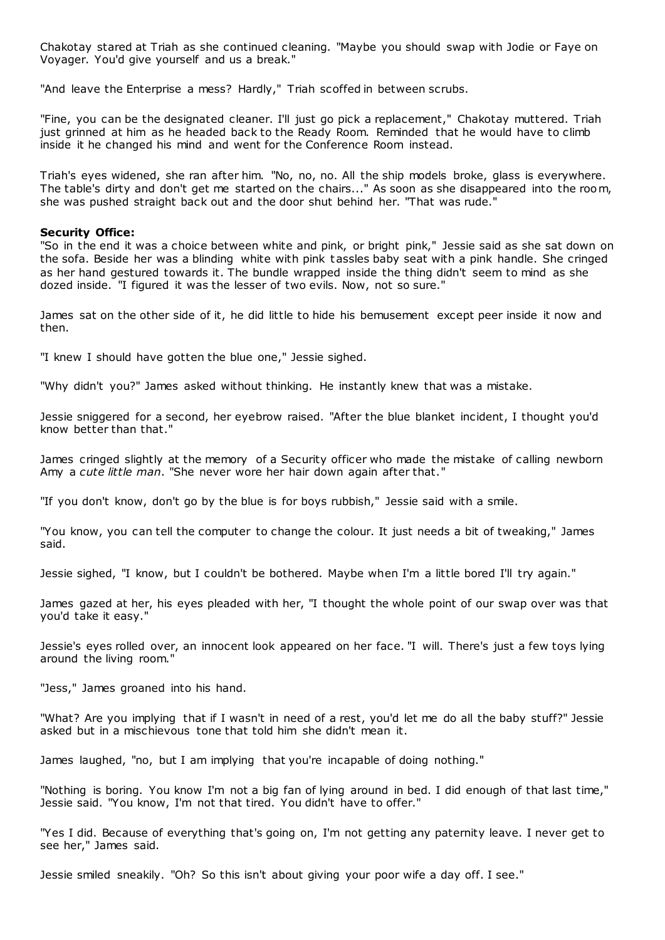Chakotay stared at Triah as she continued cleaning. "Maybe you should swap with Jodie or Faye on Voyager. You'd give yourself and us a break."

"And leave the Enterprise a mess? Hardly," Triah scoffed in between scrubs.

"Fine, you can be the designated cleaner. I'll just go pick a replacement," Chakotay muttered. Triah just grinned at him as he headed back to the Ready Room. Reminded that he would have to climb inside it he changed his mind and went for the Conference Room instead.

Triah's eyes widened, she ran after him. "No, no, no. All the ship models broke, glass is everywhere. The table's dirty and don't get me started on the chairs..." As soon as she disappeared into the room, she was pushed straight back out and the door shut behind her. "That was rude."

#### **Security Office:**

"So in the end it was a choice between white and pink, or bright pink," Jessie said as she sat down on the sofa. Beside her was a blinding white with pink tassles baby seat with a pink handle. She cringed as her hand gestured towards it. The bundle wrapped inside the thing didn't seem to mind as she dozed inside. "I figured it was the lesser of two evils. Now, not so sure."

James sat on the other side of it, he did little to hide his bemusement except peer inside it now and then.

"I knew I should have gotten the blue one," Jessie sighed.

"Why didn't you?" James asked without thinking. He instantly knew that was a mistake.

Jessie sniggered for a second, her eyebrow raised. "After the blue blanket incident, I thought you'd know better than that."

James cringed slightly at the memory of a Security officer who made the mistake of calling newborn Amy a *cute little man*. "She never wore her hair down again after that."

"If you don't know, don't go by the blue is for boys rubbish," Jessie said with a smile.

"You know, you can tell the computer to change the colour. It just needs a bit of tweaking," James said.

Jessie sighed, "I know, but I couldn't be bothered. Maybe when I'm a little bored I'll try again."

James gazed at her, his eyes pleaded with her, "I thought the whole point of our swap over was that you'd take it easy."

Jessie's eyes rolled over, an innocent look appeared on her face. "I will. There's just a few toys lying around the living room."

"Jess," James groaned into his hand.

"What? Are you implying that if I wasn't in need of a rest, you'd let me do all the baby stuff?" Jessie asked but in a mischievous tone that told him she didn't mean it.

James laughed, "no, but I am implying that you're incapable of doing nothing."

"Nothing is boring. You know I'm not a big fan of lying around in bed. I did enough of that last time," Jessie said. "You know, I'm not that tired. You didn't have to offer."

"Yes I did. Because of everything that's going on, I'm not getting any paternity leave. I never get to see her," James said.

Jessie smiled sneakily. "Oh? So this isn't about giving your poor wife a day off. I see."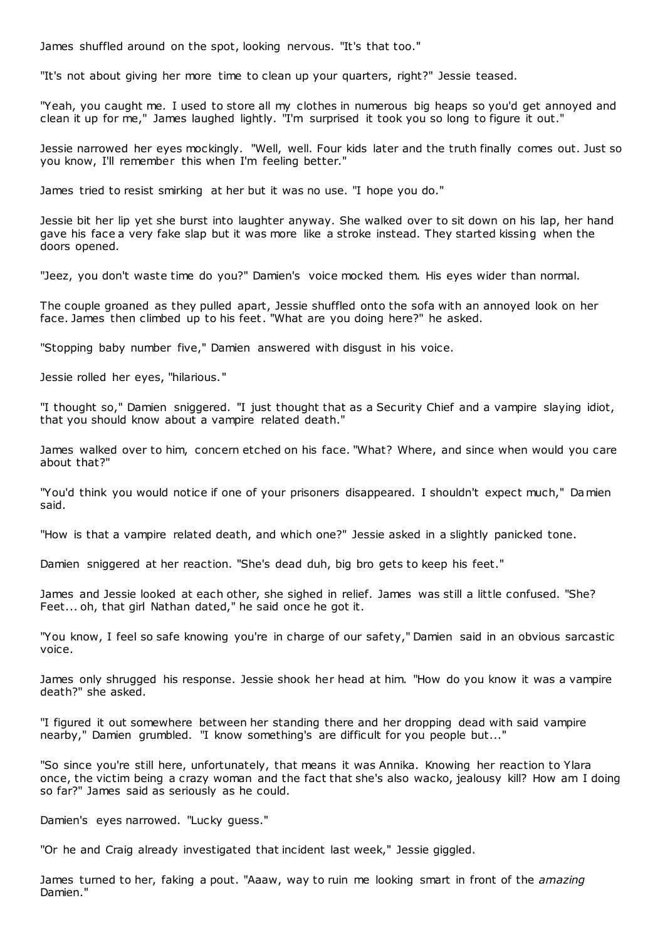James shuffled around on the spot, looking nervous. "It's that too."

"It's not about giving her more time to clean up your quarters, right?" Jessie teased.

"Yeah, you caught me. I used to store all my clothes in numerous big heaps so you'd get annoyed and clean it up for me," James laughed lightly. "I'm surprised it took you so long to figure it out."

Jessie narrowed her eyes mockingly. "Well, well. Four kids later and the truth finally comes out. Just so you know, I'll remember this when I'm feeling better."

James tried to resist smirking at her but it was no use. "I hope you do."

Jessie bit her lip yet she burst into laughter anyway. She walked over to sit down on his lap, her hand gave his face a very fake slap but it was more like a stroke instead. They started kissing when the doors opened.

"Jeez, you don't waste time do you?" Damien's voice mocked them. His eyes wider than normal.

The couple groaned as they pulled apart, Jessie shuffled onto the sofa with an annoyed look on her face. James then climbed up to his feet. "What are you doing here?" he asked.

"Stopping baby number five," Damien answered with disgust in his voice.

Jessie rolled her eyes, "hilarious."

"I thought so," Damien sniggered. "I just thought that as a Security Chief and a vampire slaying idiot, that you should know about a vampire related death."

James walked over to him, concern etched on his face. "What? Where, and since when would you care about that?"

"You'd think you would notice if one of your prisoners disappeared. I shouldn't expect much," Damien said.

"How is that a vampire related death, and which one?" Jessie asked in a slightly panicked tone.

Damien sniggered at her reaction. "She's dead duh, big bro gets to keep his feet."

James and Jessie looked at each other, she sighed in relief. James was still a little confused. "She? Feet... oh, that girl Nathan dated," he said once he got it.

"You know, I feel so safe knowing you're in charge of our safety," Damien said in an obvious sarcastic voice.

James only shrugged his response. Jessie shook her head at him. "How do you know it was a vampire death?" she asked.

"I figured it out somewhere between her standing there and her dropping dead with said vampire nearby," Damien grumbled. "I know something's are difficult for you people but..."

"So since you're still here, unfortunately, that means it was Annika. Knowing her reaction to Ylara once, the victim being a crazy woman and the fact that she's also wacko, jealousy kill? How am I doing so far?" James said as seriously as he could.

Damien's eyes narrowed. "Lucky guess."

"Or he and Craig already investigated that incident last week," Jessie giggled.

James turned to her, faking a pout. "Aaaw, way to ruin me looking smart in front of the *amazing* Damien."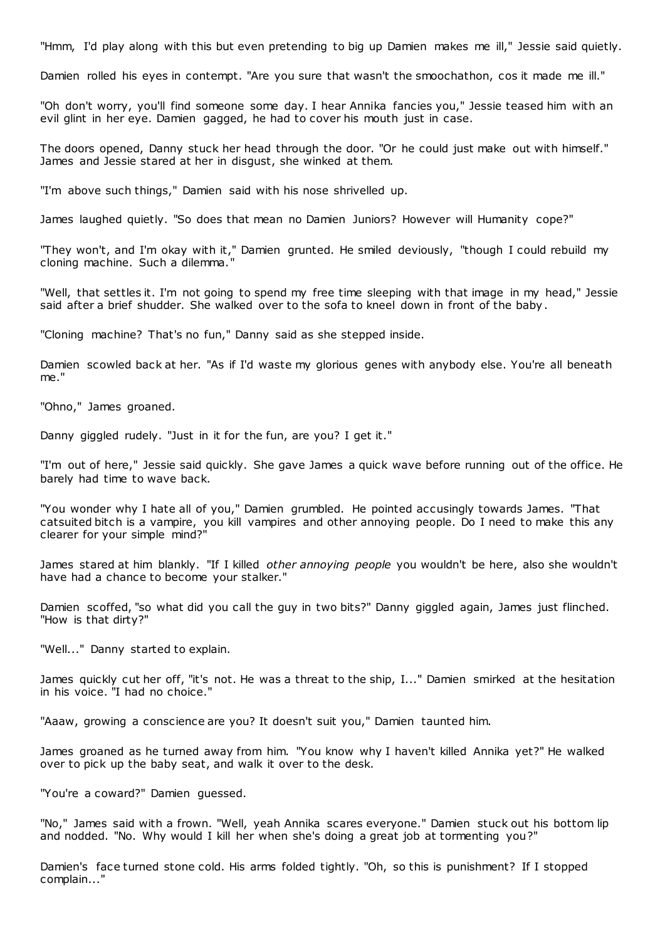"Hmm, I'd play along with this but even pretending to big up Damien makes me ill," Jessie said quietly.

Damien rolled his eyes in contempt. "Are you sure that wasn't the smoochathon, cos it made me ill."

"Oh don't worry, you'll find someone some day. I hear Annika fancies you," Jessie teased him with an evil glint in her eye. Damien gagged, he had to cover his mouth just in case.

The doors opened, Danny stuck her head through the door. "Or he could just make out with himself." James and Jessie stared at her in disgust, she winked at them.

"I'm above such things," Damien said with his nose shrivelled up.

James laughed quietly. "So does that mean no Damien Juniors? However will Humanity cope?"

"They won't, and I'm okay with it," Damien grunted. He smiled deviously, "though I could rebuild my cloning machine. Such a dilemma."

"Well, that settles it. I'm not going to spend my free time sleeping with that image in my head," Jessie said after a brief shudder. She walked over to the sofa to kneel down in front of the baby.

"Cloning machine? That's no fun," Danny said as she stepped inside.

Damien scowled back at her. "As if I'd waste my glorious genes with anybody else. You're all beneath me."

"Ohno," James groaned.

Danny giggled rudely. "Just in it for the fun, are you? I get it."

"I'm out of here," Jessie said quickly. She gave James a quick wave before running out of the office. He barely had time to wave back.

"You wonder why I hate all of you," Damien grumbled. He pointed accusingly towards James. "That catsuited bitch is a vampire, you kill vampires and other annoying people. Do I need to make this any clearer for your simple mind?"

James stared at him blankly. "If I killed *other annoying people* you wouldn't be here, also she wouldn't have had a chance to become your stalker."

Damien scoffed, "so what did you call the guy in two bits?" Danny giggled again, James just flinched. "How is that dirty?"

"Well..." Danny started to explain.

James quickly cut her off, "it's not. He was a threat to the ship, I..." Damien smirked at the hesitation in his voice. "I had no choice."

"Aaaw, growing a conscience are you? It doesn't suit you," Damien taunted him.

James groaned as he turned away from him. "You know why I haven't killed Annika yet?" He walked over to pick up the baby seat, and walk it over to the desk.

"You're a coward?" Damien guessed.

"No," James said with a frown. "Well, yeah Annika scares everyone." Damien stuck out his bottom lip and nodded. "No. Why would I kill her when she's doing a great job at tormenting you?"

Damien's face turned stone cold. His arms folded tightly. "Oh, so this is punishment? If I stopped complain..."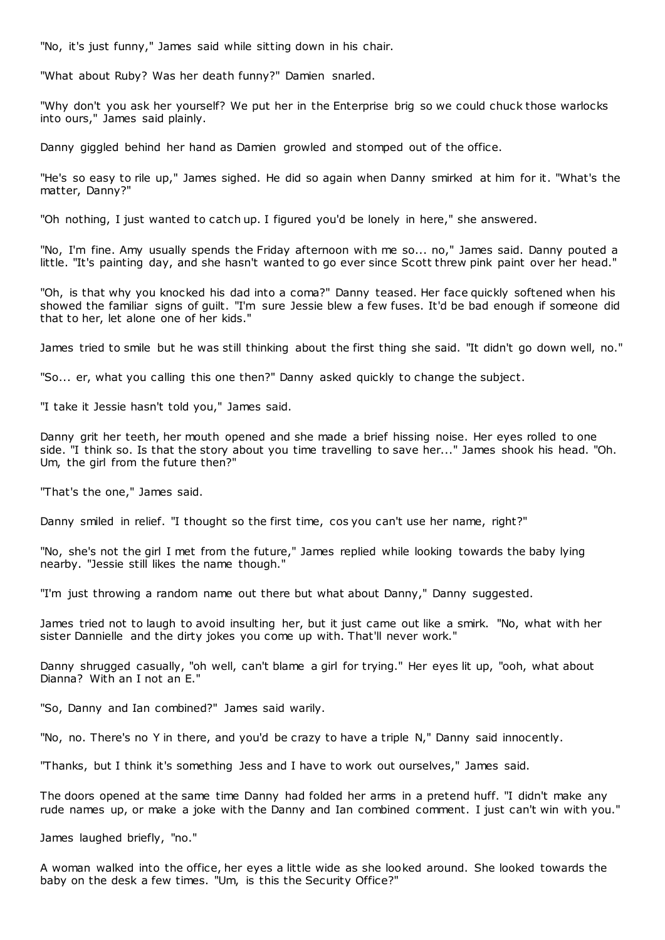"No, it's just funny," James said while sitting down in his chair.

"What about Ruby? Was her death funny?" Damien snarled.

"Why don't you ask her yourself? We put her in the Enterprise brig so we could chuck those warlocks into ours," James said plainly.

Danny giggled behind her hand as Damien growled and stomped out of the office.

"He's so easy to rile up," James sighed. He did so again when Danny smirked at him for it. "What's the matter, Danny?"

"Oh nothing, I just wanted to catch up. I figured you'd be lonely in here," she answered.

"No, I'm fine. Amy usually spends the Friday afternoon with me so... no," James said. Danny pouted a little. "It's painting day, and she hasn't wanted to go ever since Scott threw pink paint over her head."

"Oh, is that why you knocked his dad into a coma?" Danny teased. Her face quickly softened when his showed the familiar signs of guilt. "I'm sure Jessie blew a few fuses. It'd be bad enough if someone did that to her, let alone one of her kids."

James tried to smile but he was still thinking about the first thing she said. "It didn't go down well, no."

"So... er, what you calling this one then?" Danny asked quickly to change the subject.

"I take it Jessie hasn't told you," James said.

Danny grit her teeth, her mouth opened and she made a brief hissing noise. Her eyes rolled to one side. "I think so. Is that the story about you time travelling to save her..." James shook his head. "Oh. Um, the girl from the future then?"

"That's the one," James said.

Danny smiled in relief. "I thought so the first time, cos you can't use her name, right?"

"No, she's not the girl I met from the future," James replied while looking towards the baby lying nearby. "Jessie still likes the name though."

"I'm just throwing a random name out there but what about Danny," Danny suggested.

James tried not to laugh to avoid insulting her, but it just came out like a smirk. "No, what with her sister Dannielle and the dirty jokes you come up with. That'll never work."

Danny shrugged casually, "oh well, can't blame a girl for trying." Her eyes lit up, "ooh, what about Dianna? With an I not an E."

"So, Danny and Ian combined?" James said warily.

"No, no. There's no Y in there, and you'd be crazy to have a triple N," Danny said innocently.

"Thanks, but I think it's something Jess and I have to work out ourselves," James said.

The doors opened at the same time Danny had folded her arms in a pretend huff. "I didn't make any rude names up, or make a joke with the Danny and Ian combined comment. I just can't win with you."

James laughed briefly, "no."

A woman walked into the office, her eyes a little wide as she looked around. She looked towards the baby on the desk a few times. "Um, is this the Security Office?"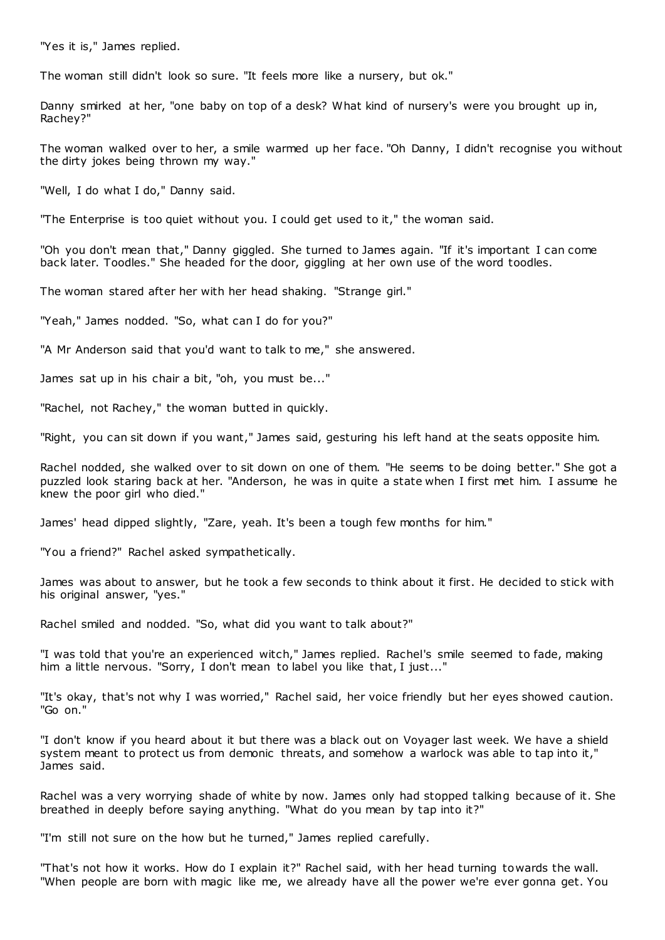"Yes it is," James replied.

The woman still didn't look so sure. "It feels more like a nursery, but ok."

Danny smirked at her, "one baby on top of a desk? What kind of nursery's were you brought up in, Rachey?"

The woman walked over to her, a smile warmed up her face. "Oh Danny, I didn't recognise you without the dirty jokes being thrown my way."

"Well, I do what I do," Danny said.

"The Enterprise is too quiet without you. I could get used to it," the woman said.

"Oh you don't mean that," Danny giggled. She turned to James again. "If it's important I can come back later. Toodles." She headed for the door, giggling at her own use of the word toodles.

The woman stared after her with her head shaking. "Strange girl."

"Yeah," James nodded. "So, what can I do for you?"

"A Mr Anderson said that you'd want to talk to me," she answered.

James sat up in his chair a bit, "oh, you must be..."

"Rachel, not Rachey," the woman butted in quickly.

"Right, you can sit down if you want," James said, gesturing his left hand at the seats opposite him.

Rachel nodded, she walked over to sit down on one of them. "He seems to be doing better." She got a puzzled look staring back at her. "Anderson, he was in quite a state when I first met him. I assume he knew the poor girl who died."

James' head dipped slightly, "Zare, yeah. It's been a tough few months for him."

"You a friend?" Rachel asked sympathetically.

James was about to answer, but he took a few seconds to think about it first. He decided to stick with his original answer, "yes."

Rachel smiled and nodded. "So, what did you want to talk about?"

"I was told that you're an experienced witch," James replied. Rachel's smile seemed to fade, making him a little nervous. "Sorry, I don't mean to label you like that, I just..."

"It's okay, that's not why I was worried," Rachel said, her voice friendly but her eyes showed caution. "Go on."

"I don't know if you heard about it but there was a black out on Voyager last week. We have a shield system meant to protect us from demonic threats, and somehow a warlock was able to tap into it," James said.

Rachel was a very worrying shade of white by now. James only had stopped talking because of it. She breathed in deeply before saying anything. "What do you mean by tap into it?"

"I'm still not sure on the how but he turned," James replied carefully.

"That's not how it works. How do I explain it?" Rachel said, with her head turning towards the wall. "When people are born with magic like me, we already have all the power we're ever gonna get. You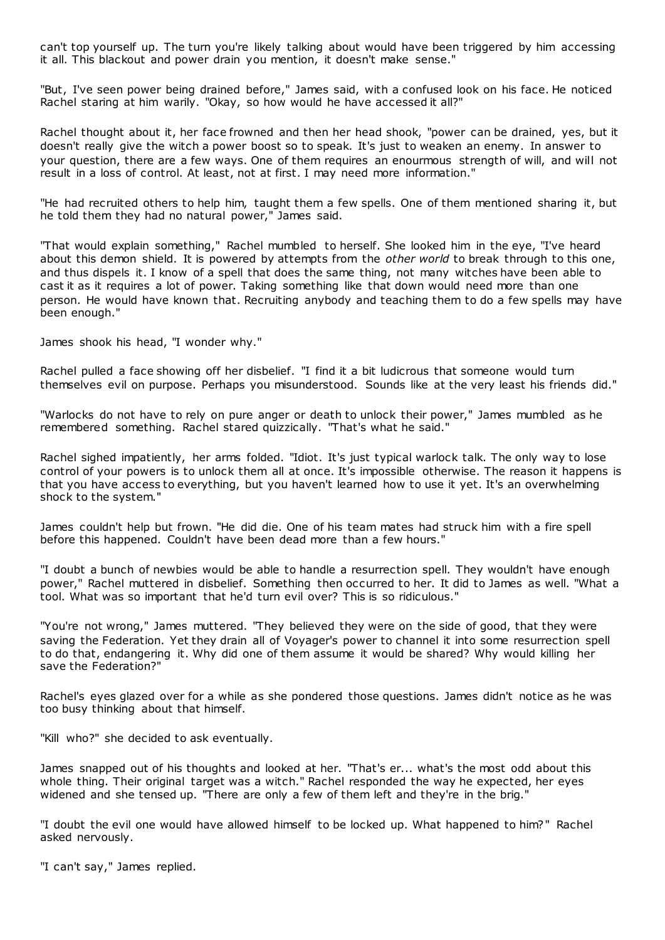can't top yourself up. The turn you're likely talking about would have been triggered by him accessing it all. This blackout and power drain you mention, it doesn't make sense."

"But, I've seen power being drained before," James said, with a confused look on his face. He noticed Rachel staring at him warily. "Okay, so how would he have accessed it all?"

Rachel thought about it, her face frowned and then her head shook, "power can be drained, yes, but it doesn't really give the witch a power boost so to speak. It's just to weaken an enemy. In answer to your question, there are a few ways. One of them requires an enourmous strength of will, and will not result in a loss of control. At least, not at first. I may need more information."

"He had recruited others to help him, taught them a few spells. One of them mentioned sharing it, but he told them they had no natural power," James said.

"That would explain something," Rachel mumbled to herself. She looked him in the eye, "I've heard about this demon shield. It is powered by attempts from the *other world* to break through to this one, and thus dispels it. I know of a spell that does the same thing, not many witches have been able to cast it as it requires a lot of power. Taking something like that down would need more than one person. He would have known that. Recruiting anybody and teaching them to do a few spells may have been enough."

James shook his head, "I wonder why."

Rachel pulled a face showing off her disbelief. "I find it a bit ludicrous that someone would turn themselves evil on purpose. Perhaps you misunderstood. Sounds like at the very least his friends did."

"Warlocks do not have to rely on pure anger or death to unlock their power," James mumbled as he remembered something. Rachel stared quizzically. "That's what he said."

Rachel sighed impatiently, her arms folded. "Idiot. It's just typical warlock talk. The only way to lose control of your powers is to unlock them all at once. It's impossible otherwise. The reason it happens is that you have access to everything, but you haven't learned how to use it yet. It's an overwhelming shock to the system."

James couldn't help but frown. "He did die. One of his team mates had struck him with a fire spell before this happened. Couldn't have been dead more than a few hours."

"I doubt a bunch of newbies would be able to handle a resurrection spell. They wouldn't have enough power," Rachel muttered in disbelief. Something then occurred to her. It did to James as well. "What a tool. What was so important that he'd turn evil over? This is so ridiculous."

"You're not wrong," James muttered. "They believed they were on the side of good, that they were saving the Federation. Yet they drain all of Voyager's power to channel it into some resurrection spell to do that, endangering it. Why did one of them assume it would be shared? Why would killing her save the Federation?"

Rachel's eyes glazed over for a while as she pondered those questions. James didn't notice as he was too busy thinking about that himself.

"Kill who?" she decided to ask eventually.

James snapped out of his thoughts and looked at her. "That's er... what's the most odd about this whole thing. Their original target was a witch." Rachel responded the way he expected, her eyes widened and she tensed up. "There are only a few of them left and they're in the brig.'

"I doubt the evil one would have allowed himself to be locked up. What happened to him?" Rachel asked nervously.

"I can't say," James replied.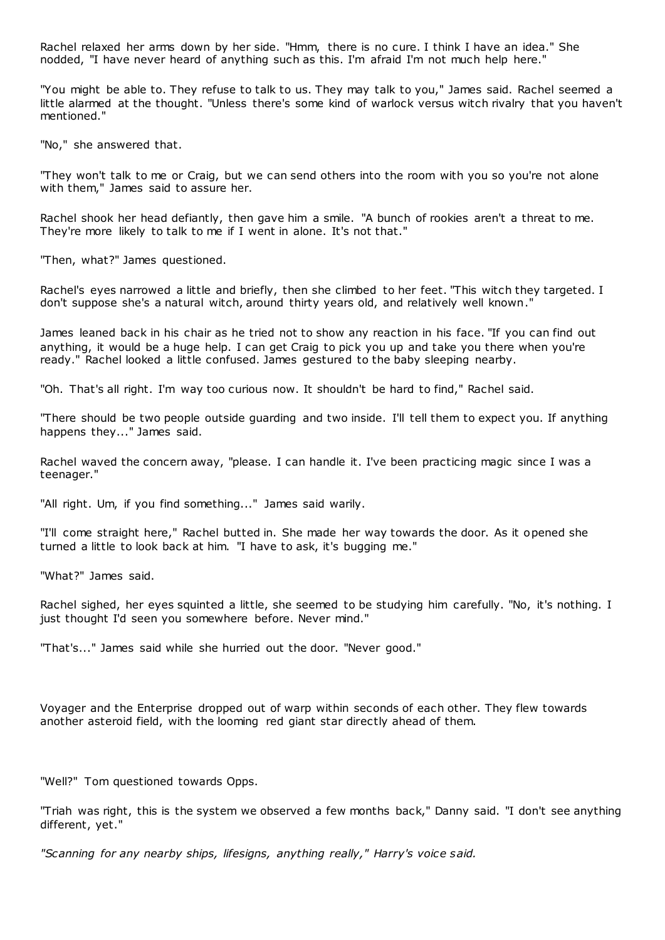Rachel relaxed her arms down by her side. "Hmm, there is no cure. I think I have an idea." She nodded, "I have never heard of anything such as this. I'm afraid I'm not much help here."

"You might be able to. They refuse to talk to us. They may talk to you," James said. Rachel seemed a little alarmed at the thought. "Unless there's some kind of warlock versus witch rivalry that you haven't mentioned."

"No," she answered that.

"They won't talk to me or Craig, but we can send others into the room with you so you're not alone with them," James said to assure her.

Rachel shook her head defiantly, then gave him a smile. "A bunch of rookies aren't a threat to me. They're more likely to talk to me if I went in alone. It's not that."

"Then, what?" James questioned.

Rachel's eyes narrowed a little and briefly, then she climbed to her feet. "This witch they targeted. I don't suppose she's a natural witch, around thirty years old, and relatively well known."

James leaned back in his chair as he tried not to show any reaction in his face. "If you can find out anything, it would be a huge help. I can get Craig to pick you up and take you there when you're ready." Rachel looked a little confused. James gestured to the baby sleeping nearby.

"Oh. That's all right. I'm way too curious now. It shouldn't be hard to find," Rachel said.

"There should be two people outside guarding and two inside. I'll tell them to expect you. If anything happens they..." James said.

Rachel waved the concern away, "please. I can handle it. I've been practicing magic since I was a teenager."

"All right. Um, if you find something..." James said warily.

"I'll come straight here," Rachel butted in. She made her way towards the door. As it opened she turned a little to look back at him. "I have to ask, it's bugging me."

"What?" James said.

Rachel sighed, her eyes squinted a little, she seemed to be studying him carefully. "No, it's nothing. I just thought I'd seen you somewhere before. Never mind."

"That's..." James said while she hurried out the door. "Never good."

Voyager and the Enterprise dropped out of warp within seconds of each other. They flew towards another asteroid field, with the looming red giant star directly ahead of them.

"Well?" Tom questioned towards Opps.

"Triah was right, this is the system we observed a few months back," Danny said. "I don't see anything different, yet."

*"Scanning for any nearby ships, lifesigns, anything really," Harry's voice said.*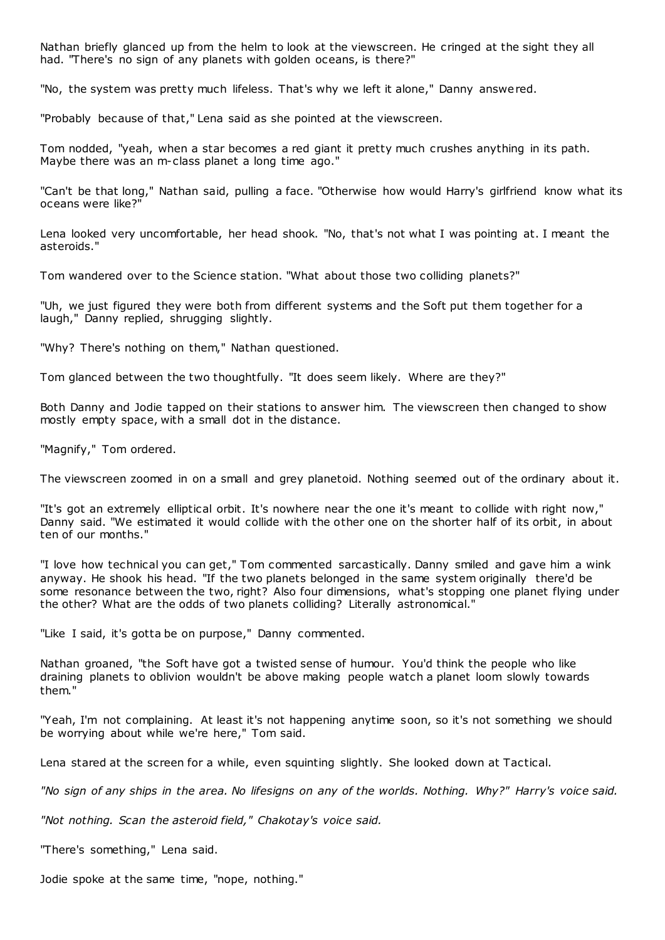Nathan briefly glanced up from the helm to look at the viewscreen. He cringed at the sight they all had. "There's no sign of any planets with golden oceans, is there?"

"No, the system was pretty much lifeless. That's why we left it alone," Danny answered.

"Probably because of that," Lena said as she pointed at the viewscreen.

Tom nodded, "yeah, when a star becomes a red giant it pretty much crushes anything in its path. Maybe there was an m-class planet a long time ago."

"Can't be that long," Nathan said, pulling a face. "Otherwise how would Harry's girlfriend know what its oceans were like?"

Lena looked very uncomfortable, her head shook. "No, that's not what I was pointing at. I meant the asteroids."

Tom wandered over to the Science station. "What about those two colliding planets?"

"Uh, we just figured they were both from different systems and the Soft put them together for a laugh," Danny replied, shrugging slightly.

"Why? There's nothing on them," Nathan questioned.

Tom glanced between the two thoughtfully. "It does seem likely. Where are they?"

Both Danny and Jodie tapped on their stations to answer him. The viewscreen then changed to show mostly empty space, with a small dot in the distance.

"Magnify," Tom ordered.

The viewscreen zoomed in on a small and grey planetoid. Nothing seemed out of the ordinary about it.

"It's got an extremely elliptical orbit. It's nowhere near the one it's meant to collide with right now," Danny said. "We estimated it would collide with the other one on the shorter half of its orbit, in about ten of our months."

"I love how technical you can get," Tom commented sarcastically. Danny smiled and gave him a wink anyway. He shook his head. "If the two planets belonged in the same system originally there'd be some resonance between the two, right? Also four dimensions, what's stopping one planet flying under the other? What are the odds of two planets colliding? Literally astronomical."

"Like I said, it's gotta be on purpose," Danny commented.

Nathan groaned, "the Soft have got a twisted sense of humour. You'd think the people who like draining planets to oblivion wouldn't be above making people watch a planet loom slowly towards them."

"Yeah, I'm not complaining. At least it's not happening anytime soon, so it's not something we should be worrying about while we're here," Tom said.

Lena stared at the screen for a while, even squinting slightly. She looked down at Tactical.

*"No sign of any ships in the area. No lifesigns on any of the worlds. Nothing. Why?" Harry's voice said.*

*"Not nothing. Scan the asteroid field," Chakotay's voice said.*

"There's something," Lena said.

Jodie spoke at the same time, "nope, nothing."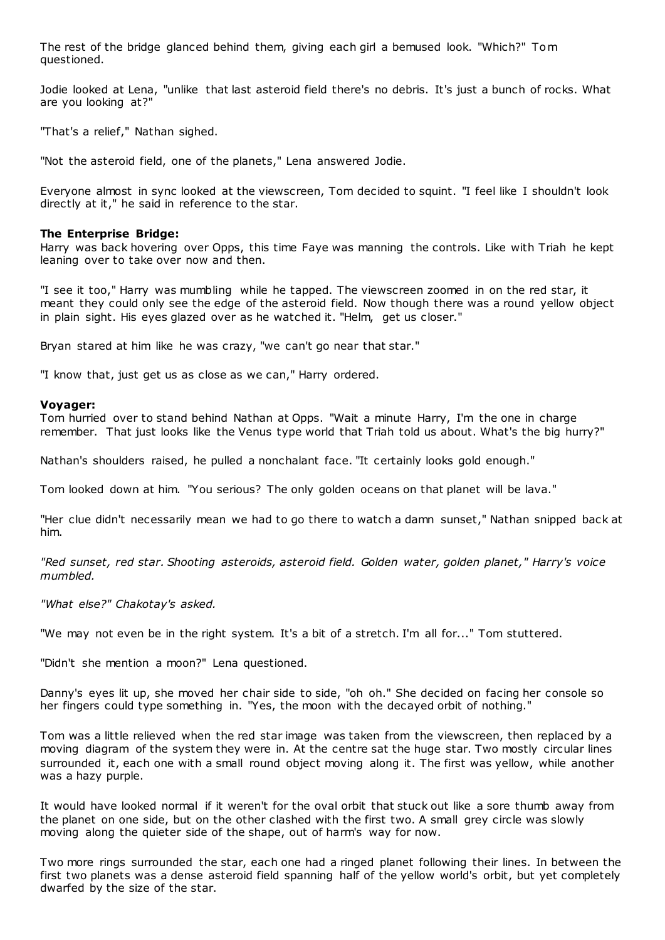The rest of the bridge glanced behind them, giving each girl a bemused look. "Which?" Tom questioned.

Jodie looked at Lena, "unlike that last asteroid field there's no debris. It's just a bunch of rocks. What are you looking at?"

"That's a relief," Nathan sighed.

"Not the asteroid field, one of the planets," Lena answered Jodie.

Everyone almost in sync looked at the viewscreen, Tom decided to squint. "I feel like I shouldn't look directly at it," he said in reference to the star.

#### **The Enterprise Bridge:**

Harry was back hovering over Opps, this time Faye was manning the controls. Like with Triah he kept leaning over to take over now and then.

"I see it too," Harry was mumbling while he tapped. The viewscreen zoomed in on the red star, it meant they could only see the edge of the asteroid field. Now though there was a round yellow object in plain sight. His eyes glazed over as he watched it. "Helm, get us closer."

Bryan stared at him like he was crazy, "we can't go near that star."

"I know that, just get us as close as we can," Harry ordered.

#### **Voyager:**

Tom hurried over to stand behind Nathan at Opps. "Wait a minute Harry, I'm the one in charge remember. That just looks like the Venus type world that Triah told us about. What's the big hurry?"

Nathan's shoulders raised, he pulled a nonchalant face. "It certainly looks gold enough."

Tom looked down at him. "You serious? The only golden oceans on that planet will be lava."

"Her clue didn't necessarily mean we had to go there to watch a damn sunset," Nathan snipped back at him.

*"Red sunset, red star. Shooting asteroids, asteroid field. Golden water, golden planet," Harry's voice mumbled.*

*"What else?" Chakotay's asked.*

"We may not even be in the right system. It's a bit of a stretch. I'm all for..." Tom stuttered.

"Didn't she mention a moon?" Lena questioned.

Danny's eyes lit up, she moved her chair side to side, "oh oh." She decided on facing her console so her fingers could type something in. "Yes, the moon with the decayed orbit of nothing."

Tom was a little relieved when the red star image was taken from the viewscreen, then replaced by a moving diagram of the system they were in. At the centre sat the huge star. Two mostly circular lines surrounded it, each one with a small round object moving along it. The first was yellow, while another was a hazy purple.

It would have looked normal if it weren't for the oval orbit that stuck out like a sore thumb away from the planet on one side, but on the other clashed with the first two. A small grey circle was slowly moving along the quieter side of the shape, out of harm's way for now.

Two more rings surrounded the star, each one had a ringed planet following their lines. In between the first two planets was a dense asteroid field spanning half of the yellow world's orbit, but yet completely dwarfed by the size of the star.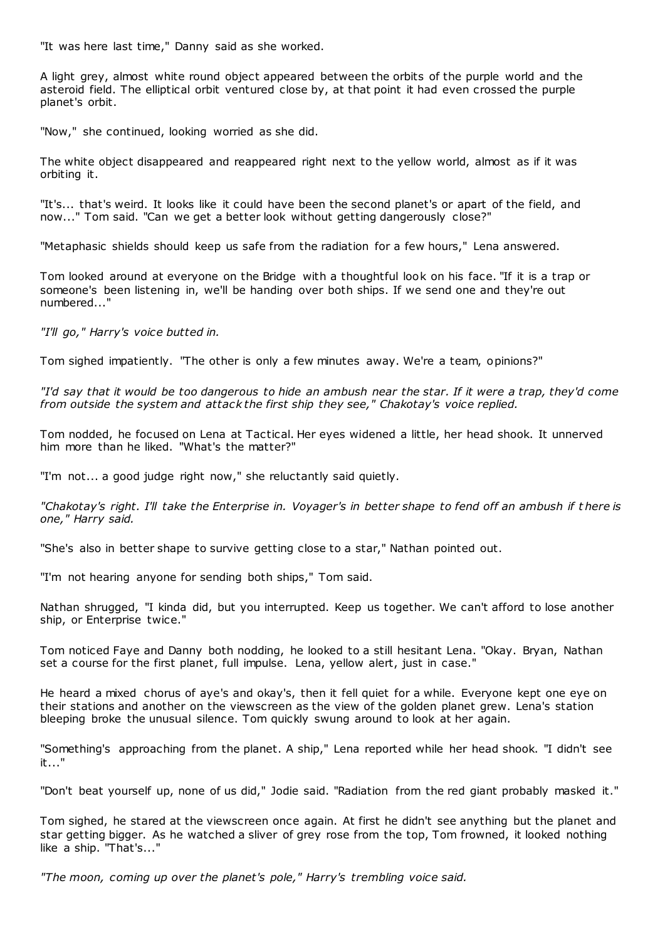"It was here last time," Danny said as she worked.

A light grey, almost white round object appeared between the orbits of the purple world and the asteroid field. The elliptical orbit ventured close by, at that point it had even crossed the purple planet's orbit.

"Now," she continued, looking worried as she did.

The white object disappeared and reappeared right next to the yellow world, almost as if it was orbiting it.

"It's... that's weird. It looks like it could have been the second planet's or apart of the field, and now..." Tom said. "Can we get a better look without getting dangerously close?"

"Metaphasic shields should keep us safe from the radiation for a few hours," Lena answered.

Tom looked around at everyone on the Bridge with a thoughtful look on his face. "If it is a trap or someone's been listening in, we'll be handing over both ships. If we send one and they're out numbered..."

*"I'll go," Harry's voice butted in.*

Tom sighed impatiently. "The other is only a few minutes away. We're a team, opinions?"

*"I'd say that it would be too dangerous to hide an ambush near the star. If it were a trap, they'd come from outside the system and attack the first ship they see," Chakotay's voice replied.*

Tom nodded, he focused on Lena at Tactical. Her eyes widened a little, her head shook. It unnerved him more than he liked. "What's the matter?"

"I'm not... a good judge right now," she reluctantly said quietly.

*"Chakotay's right. I'll take the Enterprise in. Voyager's in better shape to fend off an ambush if t here is one," Harry said.*

"She's also in better shape to survive getting close to a star," Nathan pointed out.

"I'm not hearing anyone for sending both ships," Tom said.

Nathan shrugged, "I kinda did, but you interrupted. Keep us together. We can't afford to lose another ship, or Enterprise twice."

Tom noticed Faye and Danny both nodding, he looked to a still hesitant Lena. "Okay. Bryan, Nathan set a course for the first planet, full impulse. Lena, yellow alert, just in case."

He heard a mixed chorus of aye's and okay's, then it fell quiet for a while. Everyone kept one eye on their stations and another on the viewscreen as the view of the golden planet grew. Lena's station bleeping broke the unusual silence. Tom quickly swung around to look at her again.

"Something's approaching from the planet. A ship," Lena reported while her head shook. "I didn't see it..."

"Don't beat yourself up, none of us did," Jodie said. "Radiation from the red giant probably masked it."

Tom sighed, he stared at the viewscreen once again. At first he didn't see anything but the planet and star getting bigger. As he watched a sliver of grey rose from the top, Tom frowned, it looked nothing like a ship. "That's..."

*"The moon, coming up over the planet's pole," Harry's trembling voice said.*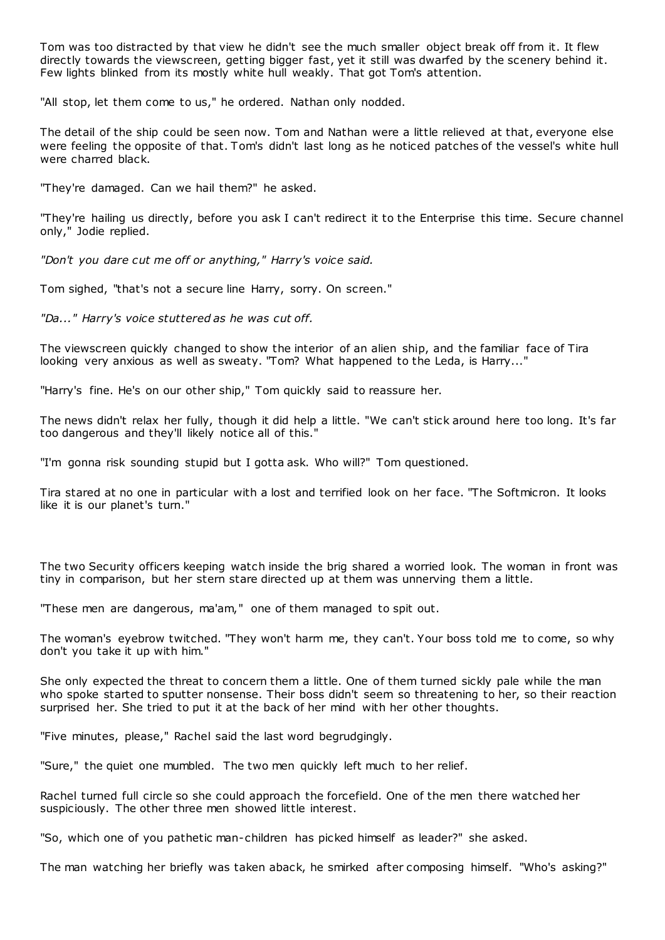Tom was too distracted by that view he didn't see the much smaller object break off from it. It flew directly towards the viewscreen, getting bigger fast, yet it still was dwarfed by the scenery behind it. Few lights blinked from its mostly white hull weakly. That got Tom's attention.

"All stop, let them come to us," he ordered. Nathan only nodded.

The detail of the ship could be seen now. Tom and Nathan were a little relieved at that, everyone else were feeling the opposite of that. Tom's didn't last long as he noticed patches of the vessel's white hull were charred black.

"They're damaged. Can we hail them?" he asked.

"They're hailing us directly, before you ask I can't redirect it to the Enterprise this time. Secure channel only," Jodie replied.

*"Don't you dare cut me off or anything," Harry's voice said.*

Tom sighed, "that's not a secure line Harry, sorry. On screen."

*"Da..." Harry's voice stuttered as he was cut off.*

The viewscreen quickly changed to show the interior of an alien ship, and the familiar face of Tira looking very anxious as well as sweaty. "Tom? What happened to the Leda, is Harry..."

"Harry's fine. He's on our other ship," Tom quickly said to reassure her.

The news didn't relax her fully, though it did help a little. "We can't stick around here too long. It's far too dangerous and they'll likely notice all of this."

"I'm gonna risk sounding stupid but I gotta ask. Who will?" Tom questioned.

Tira stared at no one in particular with a lost and terrified look on her face. "The Softmicron. It looks like it is our planet's turn."

The two Security officers keeping watch inside the brig shared a worried look. The woman in front was tiny in comparison, but her stern stare directed up at them was unnerving them a little.

"These men are dangerous, ma'am," one of them managed to spit out.

The woman's eyebrow twitched. "They won't harm me, they can't. Your boss told me to come, so why don't you take it up with him."

She only expected the threat to concern them a little. One of them turned sickly pale while the man who spoke started to sputter nonsense. Their boss didn't seem so threatening to her, so their reaction surprised her. She tried to put it at the back of her mind with her other thoughts.

"Five minutes, please," Rachel said the last word begrudgingly.

"Sure," the quiet one mumbled. The two men quickly left much to her relief.

Rachel turned full circle so she could approach the forcefield. One of the men there watched her suspiciously. The other three men showed little interest.

"So, which one of you pathetic man-children has picked himself as leader?" she asked.

The man watching her briefly was taken aback, he smirked after composing himself. "Who's asking?"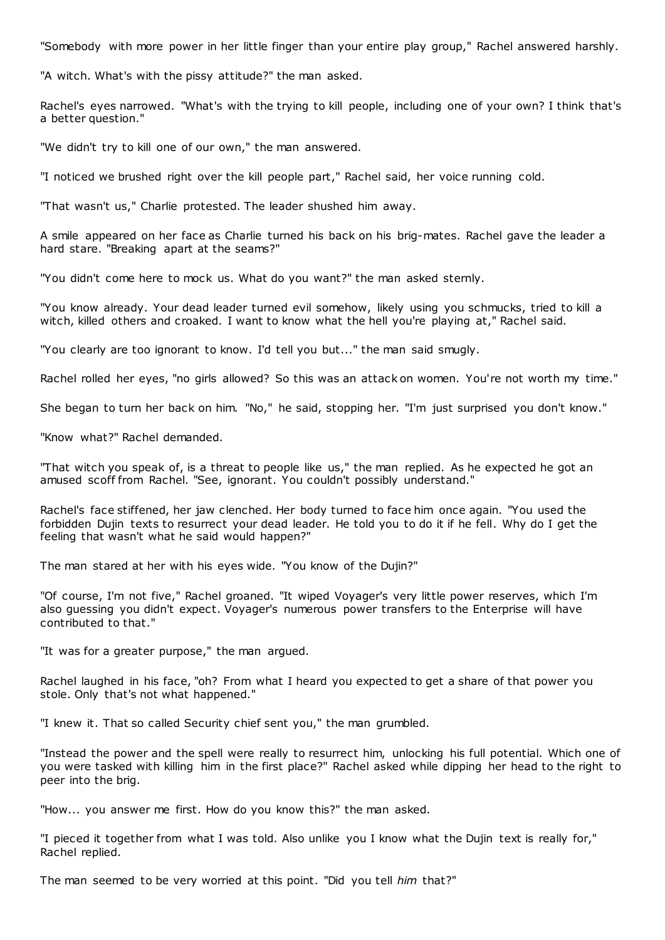"Somebody with more power in her little finger than your entire play group," Rachel answered harshly.

"A witch. What's with the pissy attitude?" the man asked.

Rachel's eyes narrowed. "What's with the trying to kill people, including one of your own? I think that's a better question."

"We didn't try to kill one of our own," the man answered.

"I noticed we brushed right over the kill people part," Rachel said, her voice running cold.

"That wasn't us," Charlie protested. The leader shushed him away.

A smile appeared on her face as Charlie turned his back on his brig-mates. Rachel gave the leader a hard stare. "Breaking apart at the seams?"

"You didn't come here to mock us. What do you want?" the man asked sternly.

"You know already. Your dead leader turned evil somehow, likely using you schmucks, tried to kill a witch, killed others and croaked. I want to know what the hell you're playing at," Rachel said.

"You clearly are too ignorant to know. I'd tell you but..." the man said smugly.

Rachel rolled her eyes, "no girls allowed? So this was an attack on women. You're not worth my time."

She began to turn her back on him. "No," he said, stopping her. "I'm just surprised you don't know."

"Know what?" Rachel demanded.

"That witch you speak of, is a threat to people like us," the man replied. As he expected he got an amused scoff from Rachel. "See, ignorant. You couldn't possibly understand."

Rachel's face stiffened, her jaw clenched. Her body turned to face him once again. "You used the forbidden Dujin texts to resurrect your dead leader. He told you to do it if he fell. Why do I get the feeling that wasn't what he said would happen?"

The man stared at her with his eyes wide. "You know of the Dujin?"

"Of course, I'm not five," Rachel groaned. "It wiped Voyager's very little power reserves, which I'm also guessing you didn't expect. Voyager's numerous power transfers to the Enterprise will have contributed to that."

"It was for a greater purpose," the man argued.

Rachel laughed in his face, "oh? From what I heard you expected to get a share of that power you stole. Only that's not what happened."

"I knew it. That so called Security chief sent you," the man grumbled.

"Instead the power and the spell were really to resurrect him, unlocking his full potential. Which one of you were tasked with killing him in the first place?" Rachel asked while dipping her head to the right to peer into the brig.

"How... you answer me first. How do you know this?" the man asked.

"I pieced it together from what I was told. Also unlike you I know what the Dujin text is really for," Rachel replied.

The man seemed to be very worried at this point. "Did you tell *him* that?"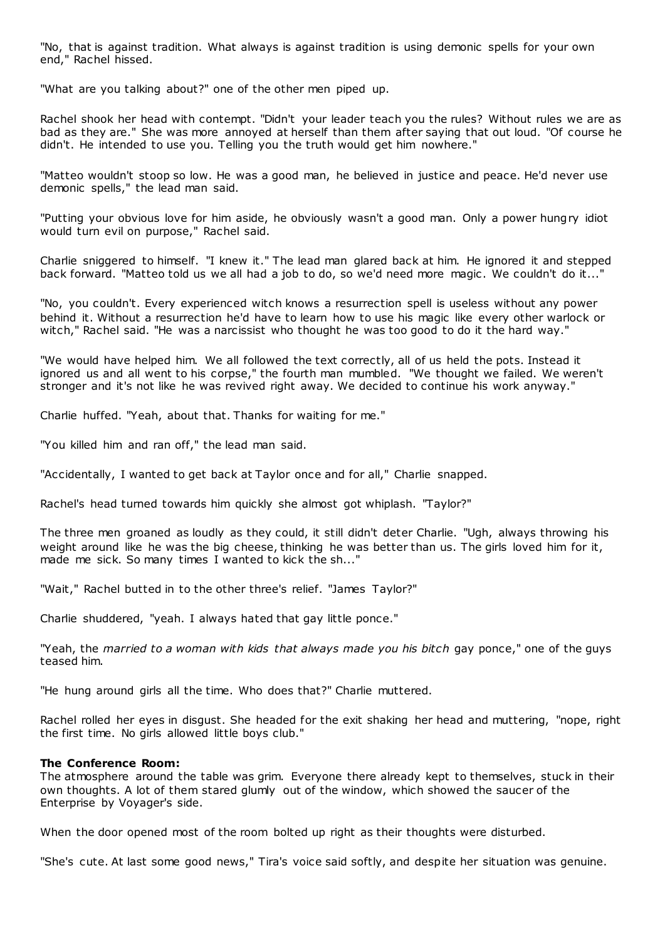"No, that is against tradition. What always is against tradition is using demonic spells for your own end," Rachel hissed.

"What are you talking about?" one of the other men piped up.

Rachel shook her head with contempt. "Didn't your leader teach you the rules? Without rules we are as bad as they are." She was more annoyed at herself than them after saying that out loud. "Of course he didn't. He intended to use you. Telling you the truth would get him nowhere."

"Matteo wouldn't stoop so low. He was a good man, he believed in justice and peace. He'd never use demonic spells," the lead man said.

"Putting your obvious love for him aside, he obviously wasn't a good man. Only a power hungry idiot would turn evil on purpose," Rachel said.

Charlie sniggered to himself. "I knew it." The lead man glared back at him. He ignored it and stepped back forward. "Matteo told us we all had a job to do, so we'd need more magic. We couldn't do it..."

"No, you couldn't. Every experienced witch knows a resurrection spell is useless without any power behind it. Without a resurrection he'd have to learn how to use his magic like every other warlock or witch," Rachel said. "He was a narcissist who thought he was too good to do it the hard way."

"We would have helped him. We all followed the text correctly, all of us held the pots. Instead it ignored us and all went to his corpse," the fourth man mumbled. "We thought we failed. We weren't stronger and it's not like he was revived right away. We decided to continue his work anyway."

Charlie huffed. "Yeah, about that. Thanks for waiting for me."

"You killed him and ran off," the lead man said.

"Accidentally, I wanted to get back at Taylor once and for all," Charlie snapped.

Rachel's head turned towards him quickly she almost got whiplash. "Taylor?"

The three men groaned as loudly as they could, it still didn't deter Charlie. "Ugh, always throwing his weight around like he was the big cheese, thinking he was better than us. The girls loved him for it, made me sick. So many times I wanted to kick the sh..."

"Wait," Rachel butted in to the other three's relief. "James Taylor?"

Charlie shuddered, "yeah. I always hated that gay little ponce."

"Yeah, the *married to a woman with kids that always made you his bitch* gay ponce," one of the guys teased him.

"He hung around girls all the time. Who does that?" Charlie muttered.

Rachel rolled her eyes in disgust. She headed for the exit shaking her head and muttering, "nope, right the first time. No girls allowed little boys club."

#### **The Conference Room:**

The atmosphere around the table was grim. Everyone there already kept to themselves, stuck in their own thoughts. A lot of them stared glumly out of the window, which showed the saucer of the Enterprise by Voyager's side.

When the door opened most of the room bolted up right as their thoughts were disturbed.

"She's cute. At last some good news," Tira's voice said softly, and despite her situation was genuine.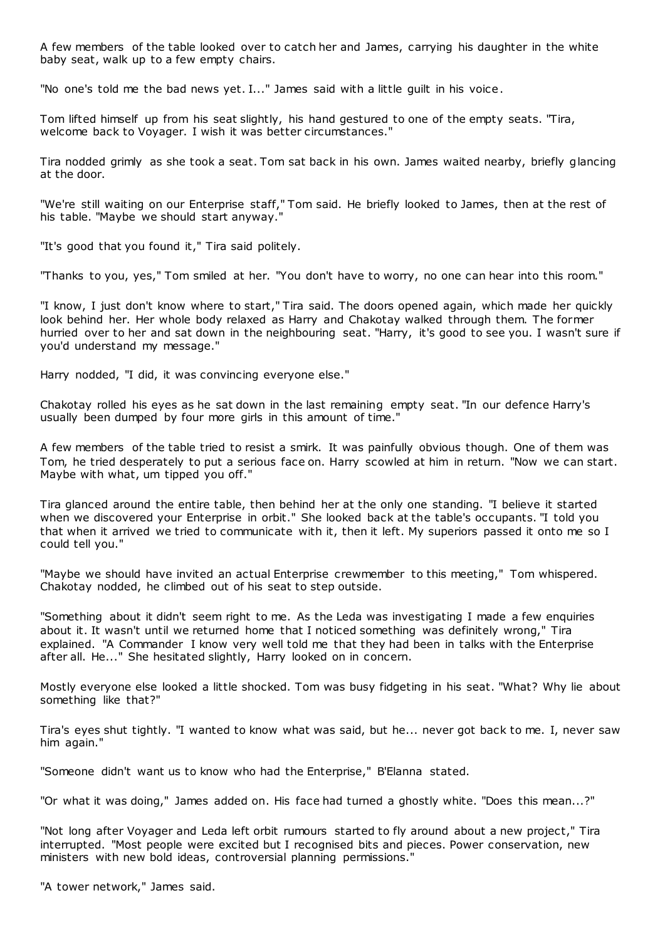A few members of the table looked over to catch her and James, carrying his daughter in the white baby seat, walk up to a few empty chairs.

"No one's told me the bad news yet. I..." James said with a little guilt in his voice.

Tom lifted himself up from his seat slightly, his hand gestured to one of the empty seats. "Tira, welcome back to Voyager. I wish it was better circumstances."

Tira nodded grimly as she took a seat. Tom sat back in his own. James waited nearby, briefly glancing at the door.

"We're still waiting on our Enterprise staff," Tom said. He briefly looked to James, then at the rest of his table. "Maybe we should start anyway."

"It's good that you found it," Tira said politely.

"Thanks to you, yes," Tom smiled at her. "You don't have to worry, no one can hear into this room."

"I know, I just don't know where to start," Tira said. The doors opened again, which made her quickly look behind her. Her whole body relaxed as Harry and Chakotay walked through them. The former hurried over to her and sat down in the neighbouring seat. "Harry, it's good to see you. I wasn't sure if you'd understand my message."

Harry nodded, "I did, it was convincing everyone else."

Chakotay rolled his eyes as he sat down in the last remaining empty seat. "In our defence Harry's usually been dumped by four more girls in this amount of time."

A few members of the table tried to resist a smirk. It was painfully obvious though. One of them was Tom, he tried desperately to put a serious face on. Harry scowled at him in return. "Now we can start. Maybe with what, um tipped you off."

Tira glanced around the entire table, then behind her at the only one standing. "I believe it started when we discovered your Enterprise in orbit." She looked back at the table's occupants. "I told you that when it arrived we tried to communicate with it, then it left. My superiors passed it onto me so I could tell you."

"Maybe we should have invited an actual Enterprise crewmember to this meeting," Tom whispered. Chakotay nodded, he climbed out of his seat to step outside.

"Something about it didn't seem right to me. As the Leda was investigating I made a few enquiries about it. It wasn't until we returned home that I noticed something was definitely wrong," Tira explained. "A Commander I know very well told me that they had been in talks with the Enterprise after all. He..." She hesitated slightly, Harry looked on in concern.

Mostly everyone else looked a little shocked. Tom was busy fidgeting in his seat. "What? Why lie about something like that?"

Tira's eyes shut tightly. "I wanted to know what was said, but he... never got back to me. I, never saw him again."

"Someone didn't want us to know who had the Enterprise," B'Elanna stated.

"Or what it was doing," James added on. His face had turned a ghostly white. "Does this mean...?"

"Not long after Voyager and Leda left orbit rumours started to fly around about a new project," Tira interrupted. "Most people were excited but I recognised bits and pieces. Power conservation, new ministers with new bold ideas, controversial planning permissions."

"A tower network," James said.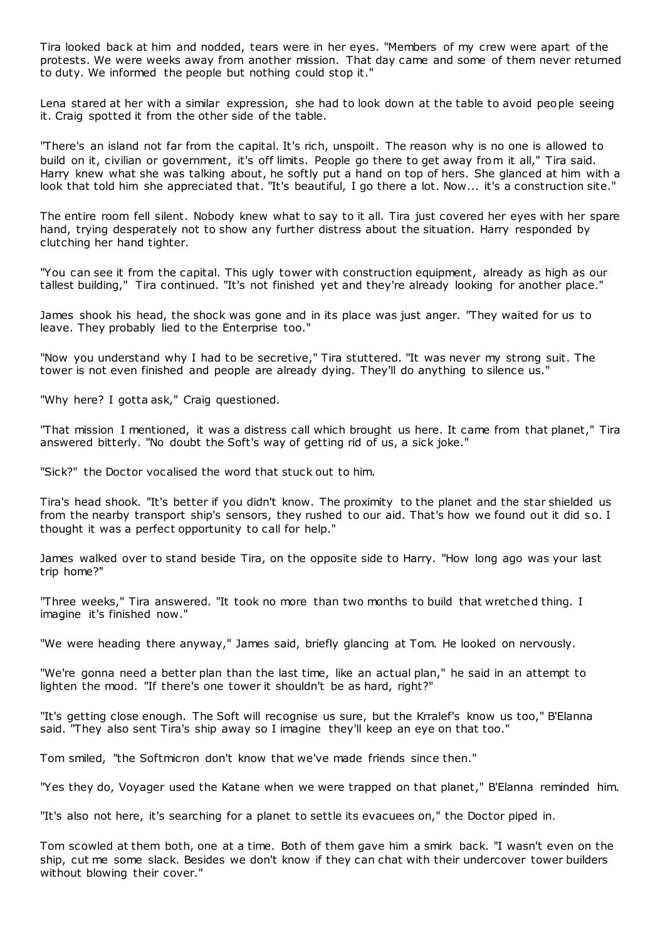Tira looked back at him and nodded, tears were in her eyes. "Members of my crew were apart of the protests. We were weeks away from another mission. That day came and some of them never returned to duty. We informed the people but nothing could stop it."

Lena stared at her with a similar expression, she had to look down at the table to avoid people seeing it. Craig spotted it from the other side of the table.

"There's an island not far from the capital. It's rich, unspoilt. The reason why is no one is allowed to build on it, civilian or government, it's off limits. People go there to get away from it all," Tira said. Harry knew what she was talking about, he softly put a hand on top of hers. She glanced at him with a look that told him she appreciated that. "It's beautiful, I go there a lot. Now... it's a construction site."

The entire room fell silent. Nobody knew what to say to it all. Tira just covered her eyes with her spare hand, trying desperately not to show any further distress about the situation. Harry responded by clutching her hand tighter.

"You can see it from the capital. This ugly tower with construction equipment, already as high as our tallest building," Tira continued. "It's not finished yet and they're already looking for another place."

James shook his head, the shock was gone and in its place was just anger. "They waited for us to leave. They probably lied to the Enterprise too."

"Now you understand why I had to be secretive," Tira stuttered. "It was never my strong suit. The tower is not even finished and people are already dying. They'll do anything to silence us."

"Why here? I gotta ask," Craig questioned.

"That mission I mentioned, it was a distress call which brought us here. It came from that planet," Tira answered bitterly. "No doubt the Soft's way of getting rid of us, a sick joke."

"Sick?" the Doctor vocalised the word that stuck out to him.

Tira's head shook. "It's better if you didn't know. The proximity to the planet and the star shielded us from the nearby transport ship's sensors, they rushed to our aid. That's how we found out it did so. I thought it was a perfect opportunity to call for help."

James walked over to stand beside Tira, on the opposite side to Harry. "How long ago was your last trip home?"

"Three weeks," Tira answered. "It took no more than two months to build that wretched thing. I imagine it's finished now."

"We were heading there anyway," James said, briefly glancing at Tom. He looked on nervously.

"We're gonna need a better plan than the last time, like an actual plan," he said in an attempt to lighten the mood. "If there's one tower it shouldn't be as hard, right?"

"It's getting close enough. The Soft will recognise us sure, but the Krralef's know us too," B'Elanna said. "They also sent Tira's ship away so I imagine they'll keep an eye on that too."

Tom smiled, "the Softmicron don't know that we've made friends since then."

"Yes they do, Voyager used the Katane when we were trapped on that planet," B'Elanna reminded him.

"It's also not here, it's searching for a planet to settle its evacuees on," the Doctor piped in.

Tom scowled at them both, one at a time. Both of them gave him a smirk back. "I wasn't even on the ship, cut me some slack. Besides we don't know if they can chat with their undercover tower builders without blowing their cover."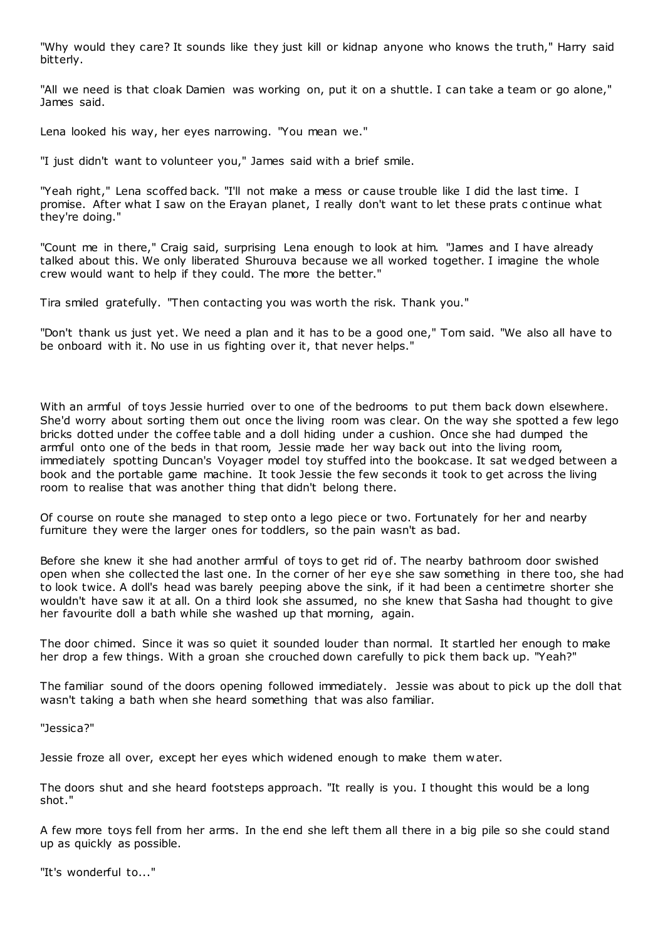"Why would they care? It sounds like they just kill or kidnap anyone who knows the truth," Harry said bitterly.

"All we need is that cloak Damien was working on, put it on a shuttle. I can take a team or go alone," James said.

Lena looked his way, her eyes narrowing. "You mean we."

"I just didn't want to volunteer you," James said with a brief smile.

"Yeah right," Lena scoffed back. "I'll not make a mess or cause trouble like I did the last time. I promise. After what I saw on the Erayan planet, I really don't want to let these prats c ontinue what they're doing."

"Count me in there," Craig said, surprising Lena enough to look at him. "James and I have already talked about this. We only liberated Shurouva because we all worked together. I imagine the whole crew would want to help if they could. The more the better."

Tira smiled gratefully. "Then contacting you was worth the risk. Thank you."

"Don't thank us just yet. We need a plan and it has to be a good one," Tom said. "We also all have to be onboard with it. No use in us fighting over it, that never helps."

With an armful of toys Jessie hurried over to one of the bedrooms to put them back down elsewhere. She'd worry about sorting them out once the living room was clear. On the way she spotted a few lego bricks dotted under the coffee table and a doll hiding under a cushion. Once she had dumped the armful onto one of the beds in that room, Jessie made her way back out into the living room, immediately spotting Duncan's Voyager model toy stuffed into the bookcase. It sat wedged between a book and the portable game machine. It took Jessie the few seconds it took to get across the living room to realise that was another thing that didn't belong there.

Of course on route she managed to step onto a lego piece or two. Fortunately for her and nearby furniture they were the larger ones for toddlers, so the pain wasn't as bad.

Before she knew it she had another armful of toys to get rid of. The nearby bathroom door swished open when she collected the last one. In the corner of her eye she saw something in there too, she had to look twice. A doll's head was barely peeping above the sink, if it had been a centimetre shorter she wouldn't have saw it at all. On a third look she assumed, no she knew that Sasha had thought to give her favourite doll a bath while she washed up that morning, again.

The door chimed. Since it was so quiet it sounded louder than normal. It startled her enough to make her drop a few things. With a groan she crouched down carefully to pick them back up. "Yeah?"

The familiar sound of the doors opening followed immediately. Jessie was about to pick up the doll that wasn't taking a bath when she heard something that was also familiar.

"Jessica?"

Jessie froze all over, except her eyes which widened enough to make them water.

The doors shut and she heard footsteps approach. "It really is you. I thought this would be a long shot."

A few more toys fell from her arms. In the end she left them all there in a big pile so she could stand up as quickly as possible.

"It's wonderful to..."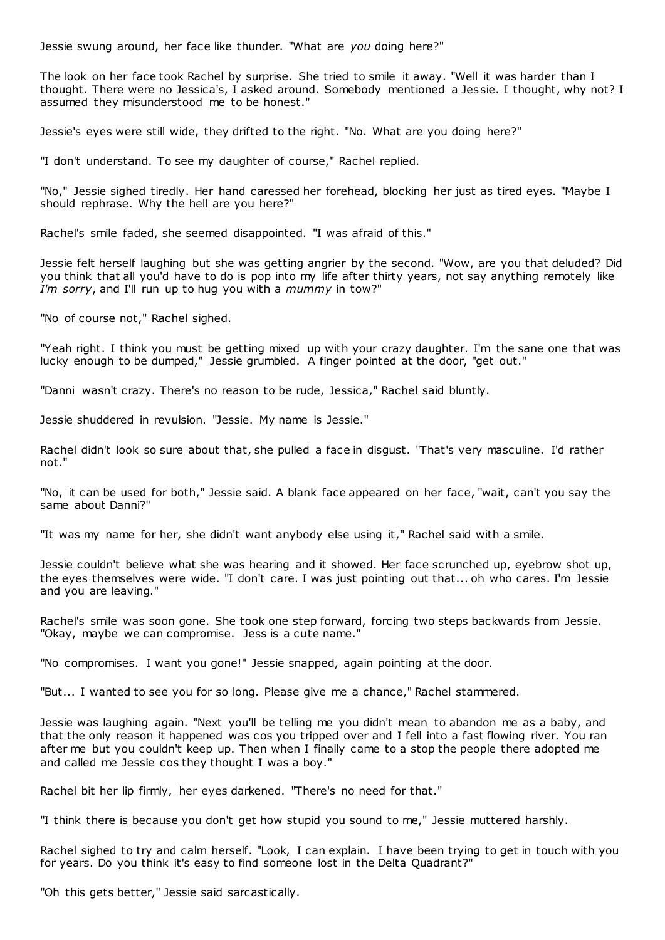Jessie swung around, her face like thunder. "What are *you* doing here?"

The look on her face took Rachel by surprise. She tried to smile it away. "Well it was harder than I thought. There were no Jessica's, I asked around. Somebody mentioned a Jessie. I thought, why not? I assumed they misunderstood me to be honest."

Jessie's eyes were still wide, they drifted to the right. "No. What are you doing here?"

"I don't understand. To see my daughter of course," Rachel replied.

"No," Jessie sighed tiredly. Her hand caressed her forehead, blocking her just as tired eyes. "Maybe I should rephrase. Why the hell are you here?"

Rachel's smile faded, she seemed disappointed. "I was afraid of this."

Jessie felt herself laughing but she was getting angrier by the second. "Wow, are you that deluded? Did you think that all you'd have to do is pop into my life after thirty years, not say anything remotely like *I'm sorry*, and I'll run up to hug you with a *mummy* in tow?"

"No of course not," Rachel sighed.

"Yeah right. I think you must be getting mixed up with your crazy daughter. I'm the sane one that was lucky enough to be dumped," Jessie grumbled. A finger pointed at the door, "get out."

"Danni wasn't crazy. There's no reason to be rude, Jessica," Rachel said bluntly.

Jessie shuddered in revulsion. "Jessie. My name is Jessie."

Rachel didn't look so sure about that, she pulled a face in disgust. "That's very masculine. I'd rather not."

"No, it can be used for both," Jessie said. A blank face appeared on her face, "wait, can't you say the same about Danni?"

"It was my name for her, she didn't want anybody else using it," Rachel said with a smile.

Jessie couldn't believe what she was hearing and it showed. Her face scrunched up, eyebrow shot up, the eyes themselves were wide. "I don't care. I was just pointing out that... oh who cares. I'm Jessie and you are leaving."

Rachel's smile was soon gone. She took one step forward, forcing two steps backwards from Jessie. "Okay, maybe we can compromise. Jess is a cute name."

"No compromises. I want you gone!" Jessie snapped, again pointing at the door.

"But... I wanted to see you for so long. Please give me a chance," Rachel stammered.

Jessie was laughing again. "Next you'll be telling me you didn't mean to abandon me as a baby, and that the only reason it happened was cos you tripped over and I fell into a fast flowing river. You ran after me but you couldn't keep up. Then when I finally came to a stop the people there adopted me and called me Jessie cos they thought I was a boy."

Rachel bit her lip firmly, her eyes darkened. "There's no need for that."

"I think there is because you don't get how stupid you sound to me," Jessie muttered harshly.

Rachel sighed to try and calm herself. "Look, I can explain. I have been trying to get in touch with you for years. Do you think it's easy to find someone lost in the Delta Quadrant?"

"Oh this gets better," Jessie said sarcastically.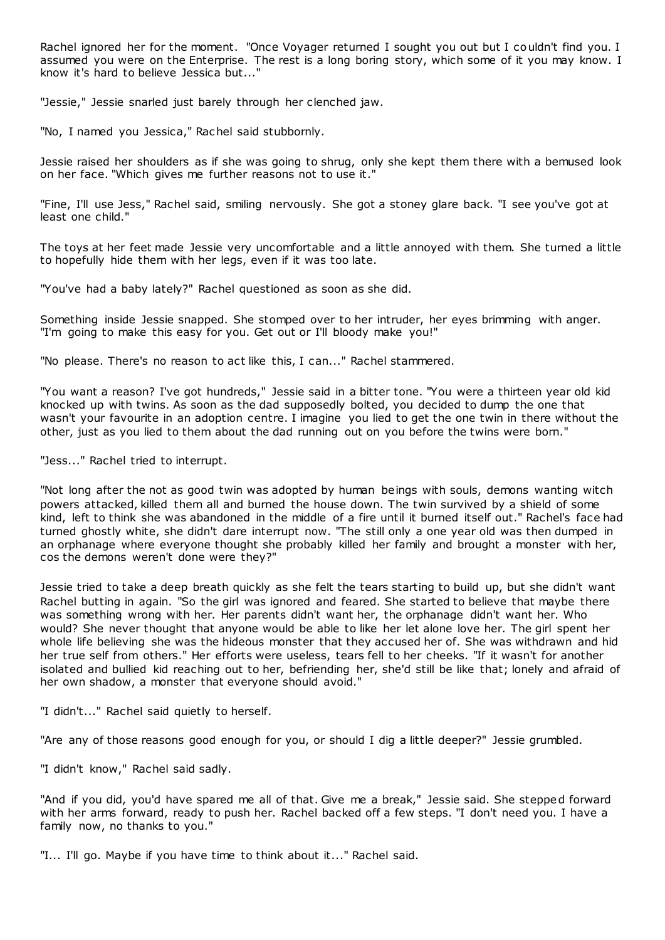Rachel ignored her for the moment. "Once Voyager returned I sought you out but I couldn't find you. I assumed you were on the Enterprise. The rest is a long boring story, which some of it you may know. I know it's hard to believe Jessica but..."

"Jessie," Jessie snarled just barely through her clenched jaw.

"No, I named you Jessica," Rachel said stubbornly.

Jessie raised her shoulders as if she was going to shrug, only she kept them there with a bemused look on her face. "Which gives me further reasons not to use it."

"Fine, I'll use Jess," Rachel said, smiling nervously. She got a stoney glare back. "I see you've got at least one child."

The toys at her feet made Jessie very uncomfortable and a little annoyed with them. She turned a little to hopefully hide them with her legs, even if it was too late.

"You've had a baby lately?" Rachel questioned as soon as she did.

Something inside Jessie snapped. She stomped over to her intruder, her eyes brimming with anger. "I'm going to make this easy for you. Get out or I'll bloody make you!"

"No please. There's no reason to act like this, I can..." Rachel stammered.

"You want a reason? I've got hundreds," Jessie said in a bitter tone. "You were a thirteen year old kid knocked up with twins. As soon as the dad supposedly bolted, you decided to dump the one that wasn't your favourite in an adoption centre. I imagine you lied to get the one twin in there without the other, just as you lied to them about the dad running out on you before the twins were born."

"Jess..." Rachel tried to interrupt.

"Not long after the not as good twin was adopted by human beings with souls, demons wanting witch powers attacked, killed them all and burned the house down. The twin survived by a shield of some kind, left to think she was abandoned in the middle of a fire until it burned itself out." Rachel's face had turned ghostly white, she didn't dare interrupt now. "The still only a one year old was then dumped in an orphanage where everyone thought she probably killed her family and brought a monster with her, cos the demons weren't done were they?"

Jessie tried to take a deep breath quickly as she felt the tears starting to build up, but she didn't want Rachel butting in again. "So the girl was ignored and feared. She started to believe that maybe there was something wrong with her. Her parents didn't want her, the orphanage didn't want her. Who would? She never thought that anyone would be able to like her let alone love her. The girl spent her whole life believing she was the hideous monster that they accused her of. She was withdrawn and hid her true self from others." Her efforts were useless, tears fell to her cheeks. "If it wasn't for another isolated and bullied kid reaching out to her, befriending her, she'd still be like that; lonely and afraid of her own shadow, a monster that everyone should avoid."

"I didn't..." Rachel said quietly to herself.

"Are any of those reasons good enough for you, or should I dig a little deeper?" Jessie grumbled.

"I didn't know," Rachel said sadly.

"And if you did, you'd have spared me all of that. Give me a break," Jessie said. She stepped forward with her arms forward, ready to push her. Rachel backed off a few steps. "I don't need you. I have a family now, no thanks to you."

"I... I'll go. Maybe if you have time to think about it..." Rachel said.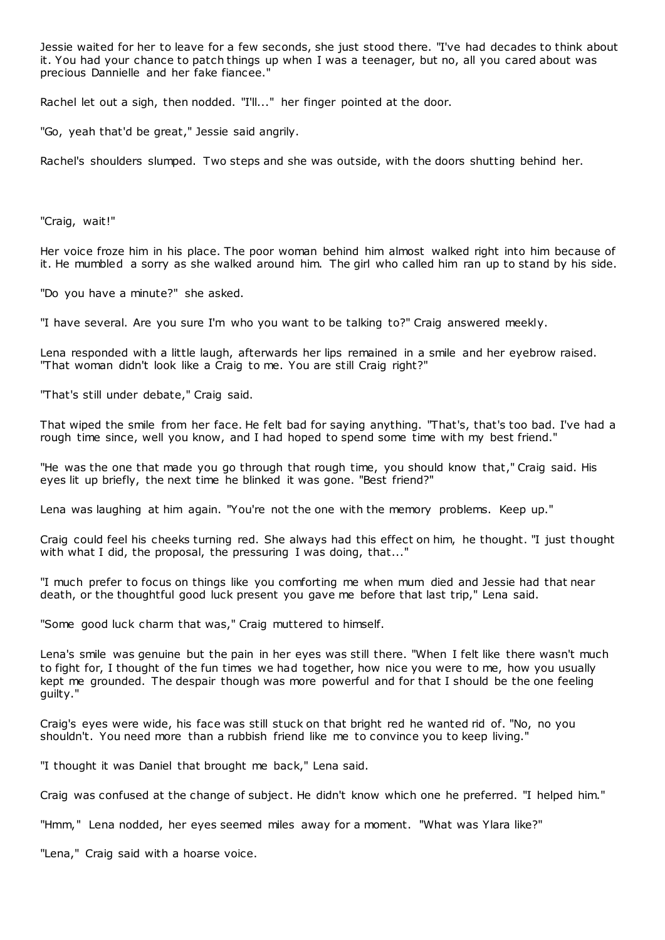Jessie waited for her to leave for a few seconds, she just stood there. "I've had decades to think about it. You had your chance to patch things up when I was a teenager, but no, all you cared about was precious Dannielle and her fake fiancee."

Rachel let out a sigh, then nodded. "I'll..." her finger pointed at the door.

"Go, yeah that'd be great," Jessie said angrily.

Rachel's shoulders slumped. Two steps and she was outside, with the doors shutting behind her.

"Craig, wait!"

Her voice froze him in his place. The poor woman behind him almost walked right into him because of it. He mumbled a sorry as she walked around him. The girl who called him ran up to stand by his side.

"Do you have a minute?" she asked.

"I have several. Are you sure I'm who you want to be talking to?" Craig answered meekly.

Lena responded with a little laugh, afterwards her lips remained in a smile and her eyebrow raised. "That woman didn't look like a Craig to me. You are still Craig right?"

"That's still under debate," Craig said.

That wiped the smile from her face. He felt bad for saying anything. "That's, that's too bad. I've had a rough time since, well you know, and I had hoped to spend some time with my best friend."

"He was the one that made you go through that rough time, you should know that," Craig said. His eyes lit up briefly, the next time he blinked it was gone. "Best friend?"

Lena was laughing at him again. "You're not the one with the memory problems. Keep up."

Craig could feel his cheeks turning red. She always had this effect on him, he thought. "I just thought with what I did, the proposal, the pressuring I was doing, that..."

"I much prefer to focus on things like you comforting me when mum died and Jessie had that near death, or the thoughtful good luck present you gave me before that last trip," Lena said.

"Some good luck charm that was," Craig muttered to himself.

Lena's smile was genuine but the pain in her eyes was still there. "When I felt like there wasn't much to fight for, I thought of the fun times we had together, how nice you were to me, how you usually kept me grounded. The despair though was more powerful and for that I should be the one feeling guilty."

Craig's eyes were wide, his face was still stuck on that bright red he wanted rid of. "No, no you shouldn't. You need more than a rubbish friend like me to convince you to keep living."

"I thought it was Daniel that brought me back," Lena said.

Craig was confused at the change of subject. He didn't know which one he preferred. "I helped him."

"Hmm," Lena nodded, her eyes seemed miles away for a moment. "What was Ylara like?"

"Lena," Craig said with a hoarse voice.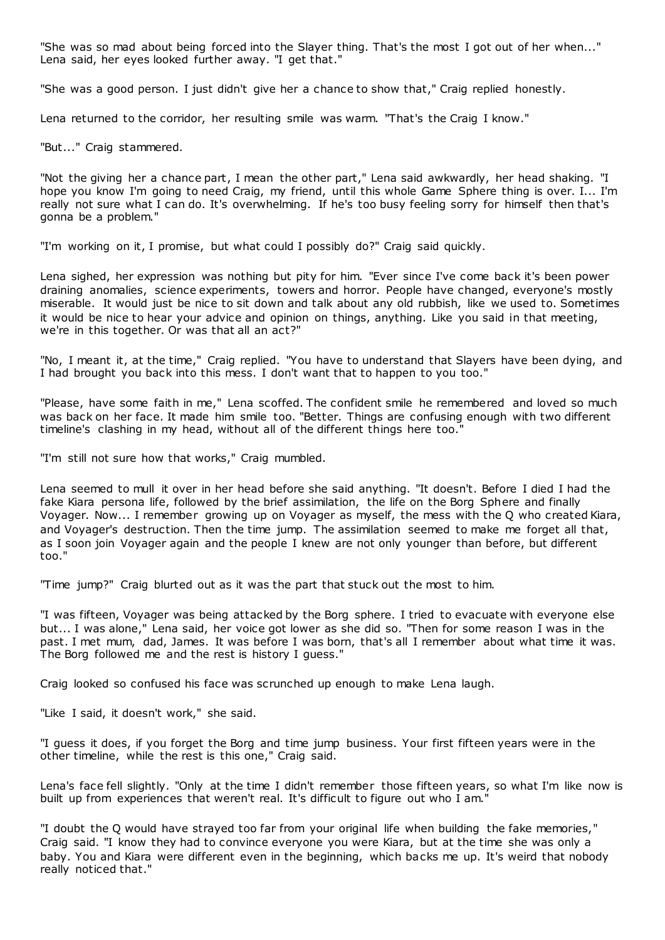"She was so mad about being forced into the Slayer thing. That's the most I got out of her when..." Lena said, her eyes looked further away. "I get that."

"She was a good person. I just didn't give her a chance to show that," Craig replied honestly.

Lena returned to the corridor, her resulting smile was warm. "That's the Craig I know."

"But..." Craig stammered.

"Not the giving her a chance part, I mean the other part," Lena said awkwardly, her head shaking. "I hope you know I'm going to need Craig, my friend, until this whole Game Sphere thing is over. I... I'm really not sure what I can do. It's overwhelming. If he's too busy feeling sorry for himself then that's gonna be a problem."

"I'm working on it, I promise, but what could I possibly do?" Craig said quickly.

Lena sighed, her expression was nothing but pity for him. "Ever since I've come back it's been power draining anomalies, science experiments, towers and horror. People have changed, everyone's mostly miserable. It would just be nice to sit down and talk about any old rubbish, like we used to. Sometimes it would be nice to hear your advice and opinion on things, anything. Like you said in that meeting, we're in this together. Or was that all an act?"

"No, I meant it, at the time," Craig replied. "You have to understand that Slayers have been dying, and I had brought you back into this mess. I don't want that to happen to you too."

"Please, have some faith in me," Lena scoffed. The confident smile he remembered and loved so much was back on her face. It made him smile too. "Better. Things are confusing enough with two different timeline's clashing in my head, without all of the different things here too."

"I'm still not sure how that works," Craig mumbled.

Lena seemed to mull it over in her head before she said anything. "It doesn't. Before I died I had the fake Kiara persona life, followed by the brief assimilation, the life on the Borg Sphere and finally Voyager. Now... I remember growing up on Voyager as myself, the mess with the Q who created Kiara, and Voyager's destruction. Then the time jump. The assimilation seemed to make me forget all that, as I soon join Voyager again and the people I knew are not only younger than before, but different too."

"Time jump?" Craig blurted out as it was the part that stuck out the most to him.

"I was fifteen, Voyager was being attacked by the Borg sphere. I tried to evacuate with everyone else but... I was alone," Lena said, her voice got lower as she did so. "Then for some reason I was in the past. I met mum, dad, James. It was before I was born, that's all I remember about what time it was. The Borg followed me and the rest is history I guess."

Craig looked so confused his face was scrunched up enough to make Lena laugh.

"Like I said, it doesn't work," she said.

"I guess it does, if you forget the Borg and time jump business. Your first fifteen years were in the other timeline, while the rest is this one," Craig said.

Lena's face fell slightly. "Only at the time I didn't remember those fifteen years, so what I'm like now is built up from experiences that weren't real. It's difficult to figure out who I am."

"I doubt the Q would have strayed too far from your original life when building the fake memories," Craig said. "I know they had to convince everyone you were Kiara, but at the time she was only a baby. You and Kiara were different even in the beginning, which backs me up. It's weird that nobody really noticed that."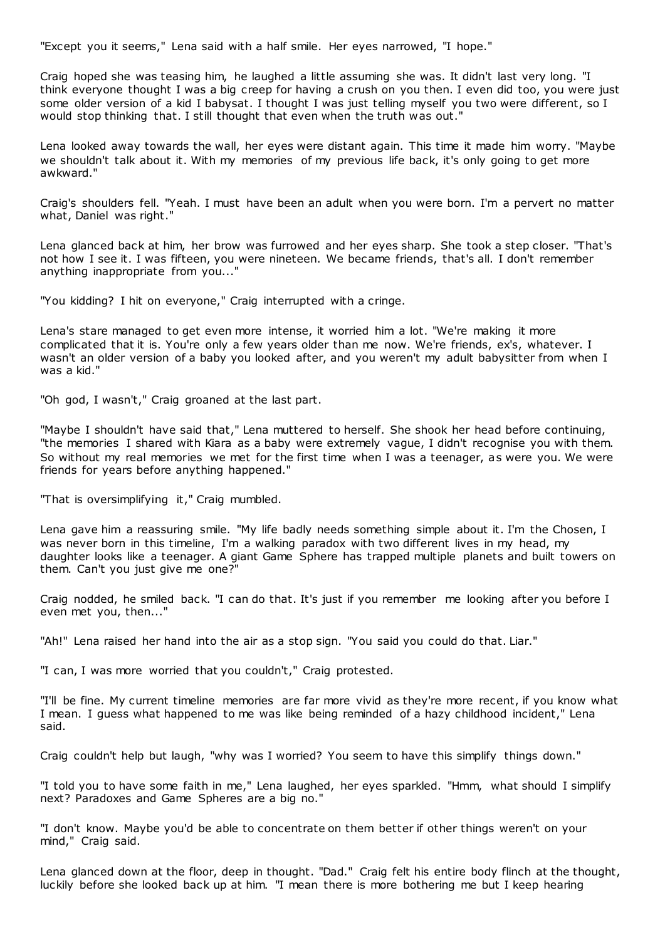"Except you it seems," Lena said with a half smile. Her eyes narrowed, "I hope."

Craig hoped she was teasing him, he laughed a little assuming she was. It didn't last very long. "I think everyone thought I was a big creep for having a crush on you then. I even did too, you were just some older version of a kid I babysat. I thought I was just telling myself you two were different, so I would stop thinking that. I still thought that even when the truth was out."

Lena looked away towards the wall, her eyes were distant again. This time it made him worry. "Maybe we shouldn't talk about it. With my memories of my previous life back, it's only going to get more awkward."

Craig's shoulders fell. "Yeah. I must have been an adult when you were born. I'm a pervert no matter what, Daniel was right."

Lena glanced back at him, her brow was furrowed and her eyes sharp. She took a step closer. "That's not how I see it. I was fifteen, you were nineteen. We became friends, that's all. I don't remember anything inappropriate from you..."

"You kidding? I hit on everyone," Craig interrupted with a cringe.

Lena's stare managed to get even more intense, it worried him a lot. "We're making it more complicated that it is. You're only a few years older than me now. We're friends, ex's, whatever. I wasn't an older version of a baby you looked after, and you weren't my adult babysitter from when I was a kid."

"Oh god, I wasn't," Craig groaned at the last part.

"Maybe I shouldn't have said that," Lena muttered to herself. She shook her head before continuing, "the memories I shared with Kiara as a baby were extremely vague, I didn't recognise you with them. So without my real memories we met for the first time when I was a teenager, as were you. We were friends for years before anything happened."

"That is oversimplifying it," Craig mumbled.

Lena gave him a reassuring smile. "My life badly needs something simple about it. I'm the Chosen, I was never born in this timeline, I'm a walking paradox with two different lives in my head, my daughter looks like a teenager. A giant Game Sphere has trapped multiple planets and built towers on them. Can't you just give me one?"

Craig nodded, he smiled back. "I can do that. It's just if you remember me looking after you before I even met you, then..."

"Ah!" Lena raised her hand into the air as a stop sign. "You said you could do that. Liar."

"I can, I was more worried that you couldn't," Craig protested.

"I'll be fine. My current timeline memories are far more vivid as they're more recent, if you know what I mean. I guess what happened to me was like being reminded of a hazy childhood incident," Lena said.

Craig couldn't help but laugh, "why was I worried? You seem to have this simplify things down."

"I told you to have some faith in me," Lena laughed, her eyes sparkled. "Hmm, what should I simplify next? Paradoxes and Game Spheres are a big no."

"I don't know. Maybe you'd be able to concentrate on them better if other things weren't on your mind," Craig said.

Lena glanced down at the floor, deep in thought. "Dad." Craig felt his entire body flinch at the thought, luckily before she looked back up at him. "I mean there is more bothering me but I keep hearing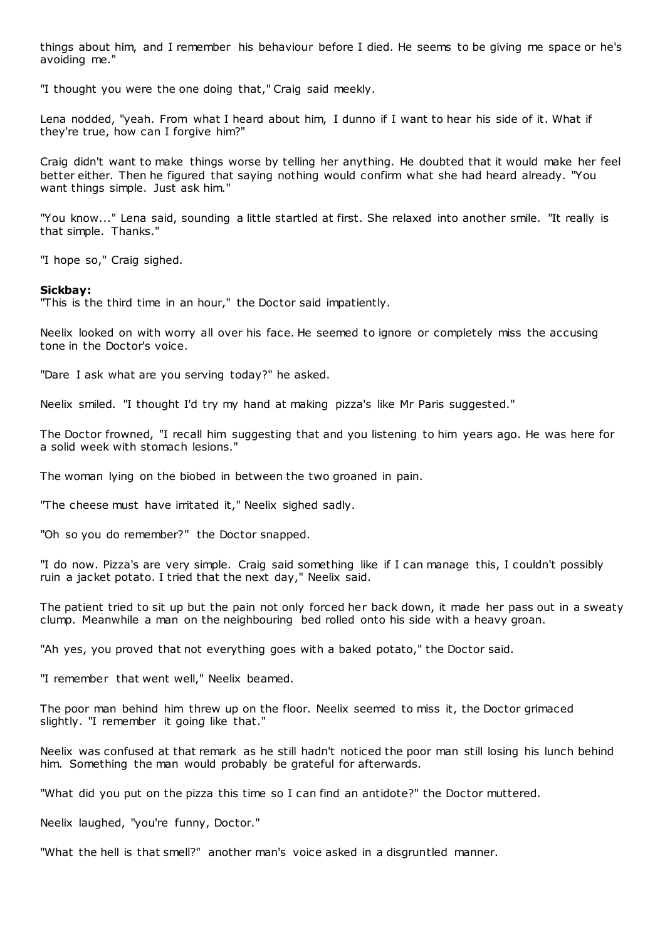things about him, and I remember his behaviour before I died. He seems to be giving me space or he's avoiding me."

"I thought you were the one doing that," Craig said meekly.

Lena nodded, "yeah. From what I heard about him, I dunno if I want to hear his side of it. What if they're true, how can I forgive him?"

Craig didn't want to make things worse by telling her anything. He doubted that it would make her feel better either. Then he figured that saying nothing would confirm what she had heard already. "You want things simple. Just ask him."

"You know..." Lena said, sounding a little startled at first. She relaxed into another smile. "It really is that simple. Thanks."

"I hope so," Craig sighed.

#### **Sickbay:**

"This is the third time in an hour," the Doctor said impatiently.

Neelix looked on with worry all over his face. He seemed to ignore or completely miss the accusing tone in the Doctor's voice.

"Dare I ask what are you serving today?" he asked.

Neelix smiled. "I thought I'd try my hand at making pizza's like Mr Paris suggested."

The Doctor frowned, "I recall him suggesting that and you listening to him years ago. He was here for a solid week with stomach lesions."

The woman lying on the biobed in between the two groaned in pain.

"The cheese must have irritated it," Neelix sighed sadly.

"Oh so you do remember?" the Doctor snapped.

"I do now. Pizza's are very simple. Craig said something like if I can manage this, I couldn't possibly ruin a jacket potato. I tried that the next day," Neelix said.

The patient tried to sit up but the pain not only forced her back down, it made her pass out in a sweaty clump. Meanwhile a man on the neighbouring bed rolled onto his side with a heavy groan.

"Ah yes, you proved that not everything goes with a baked potato," the Doctor said.

"I remember that went well," Neelix beamed.

The poor man behind him threw up on the floor. Neelix seemed to miss it, the Doctor grimaced slightly. "I remember it going like that."

Neelix was confused at that remark as he still hadn't noticed the poor man still losing his lunch behind him. Something the man would probably be grateful for afterwards.

"What did you put on the pizza this time so I can find an antidote?" the Doctor muttered.

Neelix laughed, "you're funny, Doctor."

"What the hell is that smell?" another man's voice asked in a disgruntled manner.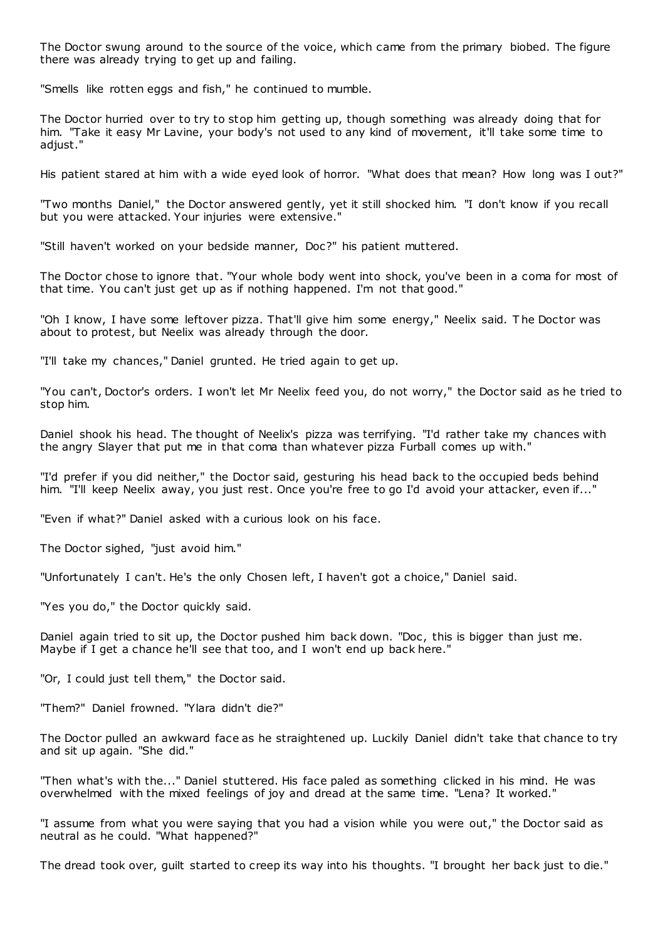The Doctor swung around to the source of the voice, which came from the primary biobed. The figure there was already trying to get up and failing.

"Smells like rotten eggs and fish," he continued to mumble.

The Doctor hurried over to try to stop him getting up, though something was already doing that for him. "Take it easy Mr Lavine, your body's not used to any kind of movement, it'll take some time to adjust."

His patient stared at him with a wide eyed look of horror. "What does that mean? How long was I out?"

"Two months Daniel," the Doctor answered gently, yet it still shocked him. "I don't know if you recall but you were attacked. Your injuries were extensive."

"Still haven't worked on your bedside manner, Doc?" his patient muttered.

The Doctor chose to ignore that. "Your whole body went into shock, you've been in a coma for most of that time. You can't just get up as if nothing happened. I'm not that good."

"Oh I know, I have some leftover pizza. That'll give him some energy," Neelix said. T he Doctor was about to protest, but Neelix was already through the door.

"I'll take my chances," Daniel grunted. He tried again to get up.

"You can't, Doctor's orders. I won't let Mr Neelix feed you, do not worry," the Doctor said as he tried to stop him.

Daniel shook his head. The thought of Neelix's pizza was terrifying. "I'd rather take my chances with the angry Slayer that put me in that coma than whatever pizza Furball comes up with."

"I'd prefer if you did neither," the Doctor said, gesturing his head back to the occupied beds behind him. "I'll keep Neelix away, you just rest. Once you're free to go I'd avoid your attacker, even if..."

"Even if what?" Daniel asked with a curious look on his face.

The Doctor sighed, "just avoid him."

"Unfortunately I can't. He's the only Chosen left, I haven't got a choice," Daniel said.

"Yes you do," the Doctor quickly said.

Daniel again tried to sit up, the Doctor pushed him back down. "Doc, this is bigger than just me. Maybe if I get a chance he'll see that too, and I won't end up back here."

"Or, I could just tell them," the Doctor said.

"Them?" Daniel frowned. "Ylara didn't die?"

The Doctor pulled an awkward face as he straightened up. Luckily Daniel didn't take that chance to try and sit up again. "She did."

"Then what's with the..." Daniel stuttered. His face paled as something clicked in his mind. He was overwhelmed with the mixed feelings of joy and dread at the same time. "Lena? It worked."

"I assume from what you were saying that you had a vision while you were out," the Doctor said as neutral as he could. "What happened?"

The dread took over, guilt started to creep its way into his thoughts. "I brought her back just to die."